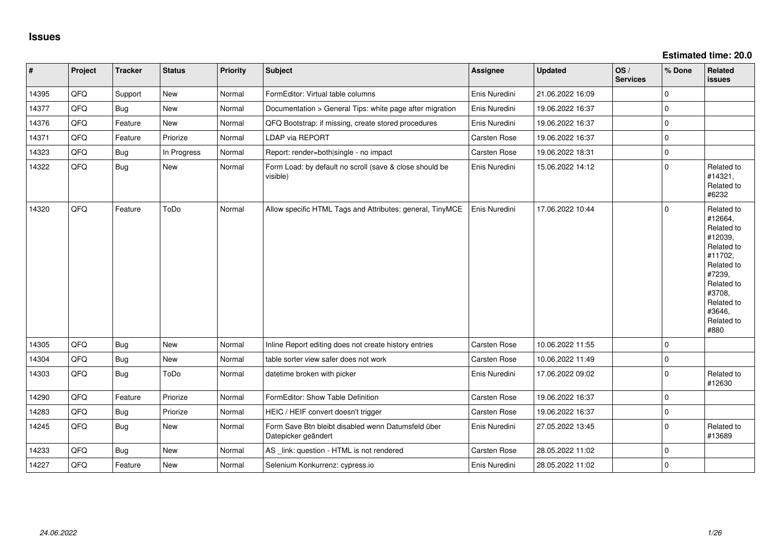| $\vert$ # | Project | <b>Tracker</b> | <b>Status</b> | <b>Priority</b> | <b>Subject</b>                                                            | <b>Assignee</b> | <b>Updated</b>   | OS/<br><b>Services</b> | % Done      | Related<br><b>issues</b>                                                                                                                                              |
|-----------|---------|----------------|---------------|-----------------|---------------------------------------------------------------------------|-----------------|------------------|------------------------|-------------|-----------------------------------------------------------------------------------------------------------------------------------------------------------------------|
| 14395     | QFQ     | Support        | <b>New</b>    | Normal          | FormEditor: Virtual table columns                                         | Enis Nuredini   | 21.06.2022 16:09 |                        | $\mathbf 0$ |                                                                                                                                                                       |
| 14377     | QFQ     | Bug            | New           | Normal          | Documentation > General Tips: white page after migration                  | Enis Nuredini   | 19.06.2022 16:37 |                        | $\mathbf 0$ |                                                                                                                                                                       |
| 14376     | QFQ     | Feature        | <b>New</b>    | Normal          | QFQ Bootstrap: if missing, create stored procedures                       | Enis Nuredini   | 19.06.2022 16:37 |                        | $\pmb{0}$   |                                                                                                                                                                       |
| 14371     | QFQ     | Feature        | Priorize      | Normal          | <b>LDAP via REPORT</b>                                                    | Carsten Rose    | 19.06.2022 16:37 |                        | $\mathbf 0$ |                                                                                                                                                                       |
| 14323     | QFQ     | <b>Bug</b>     | In Progress   | Normal          | Report: render=both single - no impact                                    | Carsten Rose    | 19.06.2022 18:31 |                        | $\pmb{0}$   |                                                                                                                                                                       |
| 14322     | QFQ     | <b>Bug</b>     | New           | Normal          | Form Load: by default no scroll (save & close should be<br>visible)       | Enis Nuredini   | 15.06.2022 14:12 |                        | $\Omega$    | Related to<br>#14321,<br>Related to<br>#6232                                                                                                                          |
| 14320     | QFQ     | Feature        | ToDo          | Normal          | Allow specific HTML Tags and Attributes: general, TinyMCE                 | Enis Nuredini   | 17.06.2022 10:44 |                        | $\mathbf 0$ | Related to<br>#12664,<br>Related to<br>#12039,<br>Related to<br>#11702.<br>Related to<br>#7239,<br>Related to<br>#3708,<br>Related to<br>#3646,<br>Related to<br>#880 |
| 14305     | QFQ     | <b>Bug</b>     | <b>New</b>    | Normal          | Inline Report editing does not create history entries                     | Carsten Rose    | 10.06.2022 11:55 |                        | $\mathbf 0$ |                                                                                                                                                                       |
| 14304     | QFQ     | <b>Bug</b>     | New           | Normal          | table sorter view safer does not work                                     | Carsten Rose    | 10.06.2022 11:49 |                        | $\mathbf 0$ |                                                                                                                                                                       |
| 14303     | QFQ     | Bug            | ToDo          | Normal          | datetime broken with picker                                               | Enis Nuredini   | 17.06.2022 09:02 |                        | $\mathbf 0$ | Related to<br>#12630                                                                                                                                                  |
| 14290     | QFQ     | Feature        | Priorize      | Normal          | FormEditor: Show Table Definition                                         | Carsten Rose    | 19.06.2022 16:37 |                        | $\mathsf 0$ |                                                                                                                                                                       |
| 14283     | QFQ     | Bug            | Priorize      | Normal          | HEIC / HEIF convert doesn't trigger                                       | Carsten Rose    | 19.06.2022 16:37 |                        | $\mathsf 0$ |                                                                                                                                                                       |
| 14245     | QFQ     | <b>Bug</b>     | New           | Normal          | Form Save Btn bleibt disabled wenn Datumsfeld über<br>Datepicker geändert | Enis Nuredini   | 27.05.2022 13:45 |                        | $\mathbf 0$ | Related to<br>#13689                                                                                                                                                  |
| 14233     | QFQ     | <b>Bug</b>     | <b>New</b>    | Normal          | AS _link: question - HTML is not rendered                                 | Carsten Rose    | 28.05.2022 11:02 |                        | $\mathbf 0$ |                                                                                                                                                                       |
| 14227     | QFQ     | Feature        | <b>New</b>    | Normal          | Selenium Konkurrenz: cypress.io                                           | Enis Nuredini   | 28.05.2022 11:02 |                        | $\mathbf 0$ |                                                                                                                                                                       |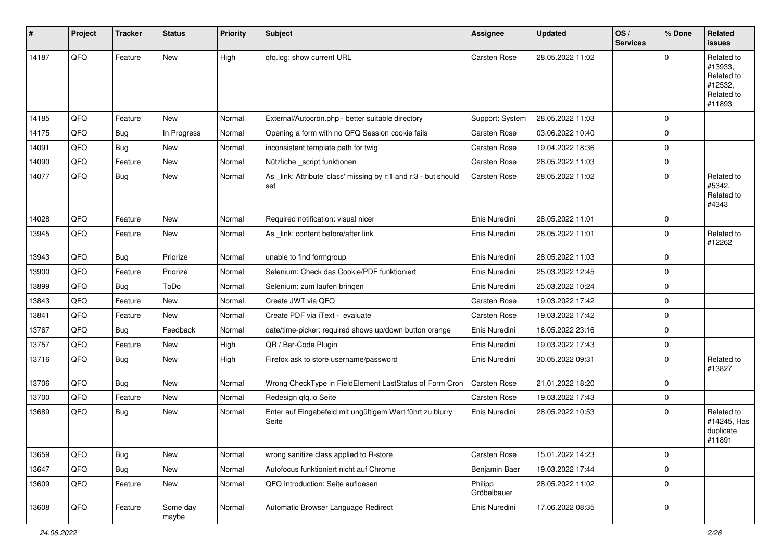| $\vert$ # | Project | <b>Tracker</b> | <b>Status</b>     | <b>Priority</b> | <b>Subject</b>                                                         | Assignee               | <b>Updated</b>   | OS/<br><b>Services</b> | % Done      | Related<br><b>issues</b>                                               |
|-----------|---------|----------------|-------------------|-----------------|------------------------------------------------------------------------|------------------------|------------------|------------------------|-------------|------------------------------------------------------------------------|
| 14187     | QFQ     | Feature        | <b>New</b>        | High            | qfq.log: show current URL                                              | <b>Carsten Rose</b>    | 28.05.2022 11:02 |                        | $\mathbf 0$ | Related to<br>#13933,<br>Related to<br>#12532,<br>Related to<br>#11893 |
| 14185     | QFQ     | Feature        | <b>New</b>        | Normal          | External/Autocron.php - better suitable directory                      | Support: System        | 28.05.2022 11:03 |                        | $\mathbf 0$ |                                                                        |
| 14175     | QFQ     | Bug            | In Progress       | Normal          | Opening a form with no QFQ Session cookie fails                        | Carsten Rose           | 03.06.2022 10:40 |                        | $\mathbf 0$ |                                                                        |
| 14091     | QFQ     | <b>Bug</b>     | New               | Normal          | inconsistent template path for twig                                    | Carsten Rose           | 19.04.2022 18:36 |                        | $\mathbf 0$ |                                                                        |
| 14090     | QFQ     | Feature        | <b>New</b>        | Normal          | Nützliche _script funktionen                                           | <b>Carsten Rose</b>    | 28.05.2022 11:03 |                        | $\mathbf 0$ |                                                                        |
| 14077     | QFQ     | <b>Bug</b>     | New               | Normal          | As _link: Attribute 'class' missing by r:1 and r:3 - but should<br>set | Carsten Rose           | 28.05.2022 11:02 |                        | $\mathbf 0$ | Related to<br>#5342,<br>Related to<br>#4343                            |
| 14028     | QFQ     | Feature        | <b>New</b>        | Normal          | Required notification: visual nicer                                    | Enis Nuredini          | 28.05.2022 11:01 |                        | $\mathbf 0$ |                                                                        |
| 13945     | QFQ     | Feature        | <b>New</b>        | Normal          | As _link: content before/after link                                    | Enis Nuredini          | 28.05.2022 11:01 |                        | $\mathbf 0$ | Related to<br>#12262                                                   |
| 13943     | QFQ     | Bug            | Priorize          | Normal          | unable to find formgroup                                               | Enis Nuredini          | 28.05.2022 11:03 |                        | $\mathbf 0$ |                                                                        |
| 13900     | QFQ     | Feature        | Priorize          | Normal          | Selenium: Check das Cookie/PDF funktioniert                            | Enis Nuredini          | 25.03.2022 12:45 |                        | $\mathbf 0$ |                                                                        |
| 13899     | QFQ     | <b>Bug</b>     | ToDo              | Normal          | Selenium: zum laufen bringen                                           | Enis Nuredini          | 25.03.2022 10:24 |                        | $\mathbf 0$ |                                                                        |
| 13843     | QFQ     | Feature        | New               | Normal          | Create JWT via QFQ                                                     | <b>Carsten Rose</b>    | 19.03.2022 17:42 |                        | $\mathbf 0$ |                                                                        |
| 13841     | QFQ     | Feature        | New               | Normal          | Create PDF via iText - evaluate                                        | Carsten Rose           | 19.03.2022 17:42 |                        | $\mathbf 0$ |                                                                        |
| 13767     | QFQ     | Bug            | Feedback          | Normal          | date/time-picker: required shows up/down button orange                 | Enis Nuredini          | 16.05.2022 23:16 |                        | $\mathbf 0$ |                                                                        |
| 13757     | QFQ     | Feature        | New               | High            | QR / Bar-Code Plugin                                                   | Enis Nuredini          | 19.03.2022 17:43 |                        | $\mathbf 0$ |                                                                        |
| 13716     | QFQ     | Bug            | New               | High            | Firefox ask to store username/password                                 | Enis Nuredini          | 30.05.2022 09:31 |                        | $\mathbf 0$ | Related to<br>#13827                                                   |
| 13706     | QFQ     | Bug            | <b>New</b>        | Normal          | Wrong CheckType in FieldElement LastStatus of Form Cron                | <b>Carsten Rose</b>    | 21.01.2022 18:20 |                        | $\mathbf 0$ |                                                                        |
| 13700     | QFQ     | Feature        | <b>New</b>        | Normal          | Redesign qfq.io Seite                                                  | Carsten Rose           | 19.03.2022 17:43 |                        | $\mathbf 0$ |                                                                        |
| 13689     | QFQ     | <b>Bug</b>     | New               | Normal          | Enter auf Eingabefeld mit ungültigem Wert führt zu blurry<br>Seite     | Enis Nuredini          | 28.05.2022 10:53 |                        | $\mathbf 0$ | Related to<br>#14245, Has<br>duplicate<br>#11891                       |
| 13659     | QFQ     | <b>Bug</b>     | New               | Normal          | wrong sanitize class applied to R-store                                | Carsten Rose           | 15.01.2022 14:23 |                        | $\mathbf 0$ |                                                                        |
| 13647     | QFQ     | <b>Bug</b>     | New               | Normal          | Autofocus funktioniert nicht auf Chrome                                | Benjamin Baer          | 19.03.2022 17:44 |                        | $\mathbf 0$ |                                                                        |
| 13609     | QFQ     | Feature        | New               | Normal          | QFQ Introduction: Seite aufloesen                                      | Philipp<br>Gröbelbauer | 28.05.2022 11:02 |                        | $\mathbf 0$ |                                                                        |
| 13608     | QFQ     | Feature        | Some day<br>maybe | Normal          | Automatic Browser Language Redirect                                    | Enis Nuredini          | 17.06.2022 08:35 |                        | $\pmb{0}$   |                                                                        |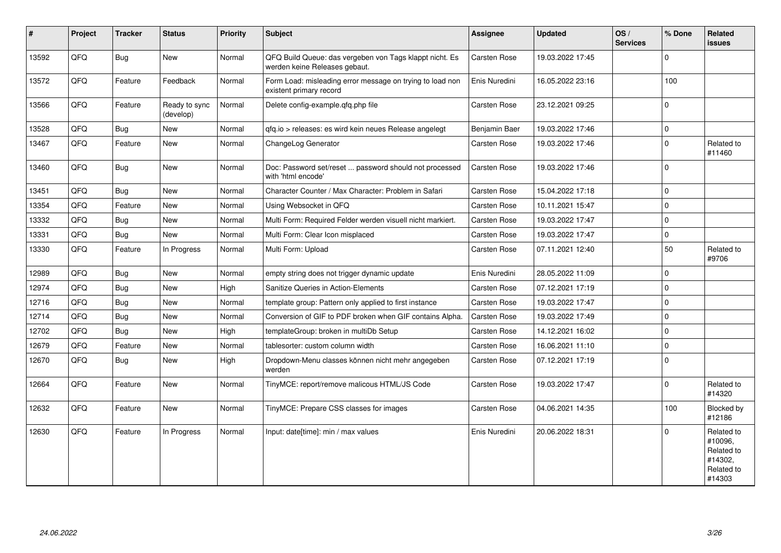| #     | Project | <b>Tracker</b> | <b>Status</b>              | <b>Priority</b> | Subject                                                                                  | <b>Assignee</b>     | <b>Updated</b>   | OS/<br><b>Services</b> | % Done      | Related<br><b>issues</b>                                               |
|-------|---------|----------------|----------------------------|-----------------|------------------------------------------------------------------------------------------|---------------------|------------------|------------------------|-------------|------------------------------------------------------------------------|
| 13592 | QFQ     | <b>Bug</b>     | <b>New</b>                 | Normal          | QFQ Build Queue: das vergeben von Tags klappt nicht. Es<br>werden keine Releases gebaut. | Carsten Rose        | 19.03.2022 17:45 |                        | $\mathbf 0$ |                                                                        |
| 13572 | QFQ     | Feature        | Feedback                   | Normal          | Form Load: misleading error message on trying to load non<br>existent primary record     | Enis Nuredini       | 16.05.2022 23:16 |                        | 100         |                                                                        |
| 13566 | QFQ     | Feature        | Ready to sync<br>(develop) | Normal          | Delete config-example.qfq.php file                                                       | Carsten Rose        | 23.12.2021 09:25 |                        | $\mathbf 0$ |                                                                        |
| 13528 | QFQ     | Bug            | <b>New</b>                 | Normal          | qfq.io > releases: es wird kein neues Release angelegt                                   | Benjamin Baer       | 19.03.2022 17:46 |                        | $\mathbf 0$ |                                                                        |
| 13467 | QFQ     | Feature        | <b>New</b>                 | Normal          | ChangeLog Generator                                                                      | Carsten Rose        | 19.03.2022 17:46 |                        | $\mathbf 0$ | Related to<br>#11460                                                   |
| 13460 | QFQ     | Bug            | <b>New</b>                 | Normal          | Doc: Password set/reset  password should not processed<br>with 'html encode'             | Carsten Rose        | 19.03.2022 17:46 |                        | $\Omega$    |                                                                        |
| 13451 | QFQ     | <b>Bug</b>     | <b>New</b>                 | Normal          | Character Counter / Max Character: Problem in Safari                                     | Carsten Rose        | 15.04.2022 17:18 |                        | $\mathbf 0$ |                                                                        |
| 13354 | QFQ     | Feature        | <b>New</b>                 | Normal          | Using Websocket in QFQ                                                                   | Carsten Rose        | 10.11.2021 15:47 |                        | $\mathbf 0$ |                                                                        |
| 13332 | QFQ     | <b>Bug</b>     | <b>New</b>                 | Normal          | Multi Form: Required Felder werden visuell nicht markiert.                               | <b>Carsten Rose</b> | 19.03.2022 17:47 |                        | $\mathbf 0$ |                                                                        |
| 13331 | QFQ     | <b>Bug</b>     | <b>New</b>                 | Normal          | Multi Form: Clear Icon misplaced                                                         | Carsten Rose        | 19.03.2022 17:47 |                        | $\pmb{0}$   |                                                                        |
| 13330 | QFQ     | Feature        | In Progress                | Normal          | Multi Form: Upload                                                                       | Carsten Rose        | 07.11.2021 12:40 |                        | 50          | Related to<br>#9706                                                    |
| 12989 | QFQ     | <b>Bug</b>     | <b>New</b>                 | Normal          | empty string does not trigger dynamic update                                             | Enis Nuredini       | 28.05.2022 11:09 |                        | $\mathbf 0$ |                                                                        |
| 12974 | QFQ     | <b>Bug</b>     | <b>New</b>                 | High            | Sanitize Queries in Action-Elements                                                      | <b>Carsten Rose</b> | 07.12.2021 17:19 |                        | $\mathbf 0$ |                                                                        |
| 12716 | QFQ     | Bug            | <b>New</b>                 | Normal          | template group: Pattern only applied to first instance                                   | Carsten Rose        | 19.03.2022 17:47 |                        | $\mathbf 0$ |                                                                        |
| 12714 | QFQ     | <b>Bug</b>     | New                        | Normal          | Conversion of GIF to PDF broken when GIF contains Alpha.                                 | Carsten Rose        | 19.03.2022 17:49 |                        | $\mathbf 0$ |                                                                        |
| 12702 | QFQ     | Bug            | <b>New</b>                 | High            | templateGroup: broken in multiDb Setup                                                   | Carsten Rose        | 14.12.2021 16:02 |                        | $\pmb{0}$   |                                                                        |
| 12679 | QFQ     | Feature        | <b>New</b>                 | Normal          | tablesorter: custom column width                                                         | Carsten Rose        | 16.06.2021 11:10 |                        | $\mathbf 0$ |                                                                        |
| 12670 | QFQ     | <b>Bug</b>     | <b>New</b>                 | High            | Dropdown-Menu classes können nicht mehr angegeben<br>werden                              | Carsten Rose        | 07.12.2021 17:19 |                        | $\Omega$    |                                                                        |
| 12664 | QFQ     | Feature        | <b>New</b>                 | Normal          | TinyMCE: report/remove malicous HTML/JS Code                                             | Carsten Rose        | 19.03.2022 17:47 |                        | $\Omega$    | Related to<br>#14320                                                   |
| 12632 | QFQ     | Feature        | <b>New</b>                 | Normal          | TinyMCE: Prepare CSS classes for images                                                  | Carsten Rose        | 04.06.2021 14:35 |                        | 100         | Blocked by<br>#12186                                                   |
| 12630 | QFQ     | Feature        | In Progress                | Normal          | Input: date[time]: min / max values                                                      | Enis Nuredini       | 20.06.2022 18:31 |                        | $\mathbf 0$ | Related to<br>#10096,<br>Related to<br>#14302.<br>Related to<br>#14303 |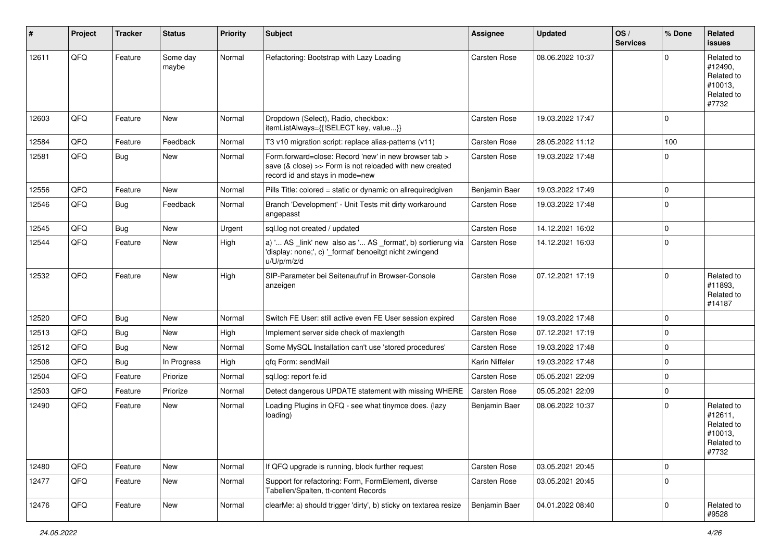| $\sharp$ | Project | <b>Tracker</b> | <b>Status</b>     | <b>Priority</b> | <b>Subject</b>                                                                                                                                      | <b>Assignee</b>     | <b>Updated</b>   | OS/<br><b>Services</b> | % Done      | Related<br>issues                                                     |
|----------|---------|----------------|-------------------|-----------------|-----------------------------------------------------------------------------------------------------------------------------------------------------|---------------------|------------------|------------------------|-------------|-----------------------------------------------------------------------|
| 12611    | QFQ     | Feature        | Some day<br>maybe | Normal          | Refactoring: Bootstrap with Lazy Loading                                                                                                            | Carsten Rose        | 08.06.2022 10:37 |                        | $\Omega$    | Related to<br>#12490,<br>Related to<br>#10013,<br>Related to<br>#7732 |
| 12603    | QFQ     | Feature        | <b>New</b>        | Normal          | Dropdown (Select), Radio, checkbox:<br>itemListAlways={{!SELECT key, value}}                                                                        | <b>Carsten Rose</b> | 19.03.2022 17:47 |                        | $\Omega$    |                                                                       |
| 12584    | QFQ     | Feature        | Feedback          | Normal          | T3 v10 migration script: replace alias-patterns (v11)                                                                                               | Carsten Rose        | 28.05.2022 11:12 |                        | 100         |                                                                       |
| 12581    | QFQ     | <b>Bug</b>     | New               | Normal          | Form.forward=close: Record 'new' in new browser tab ><br>save (& close) >> Form is not reloaded with new created<br>record id and stays in mode=new | Carsten Rose        | 19.03.2022 17:48 |                        | $\Omega$    |                                                                       |
| 12556    | QFQ     | Feature        | New               | Normal          | Pills Title: colored = static or dynamic on allrequiredgiven                                                                                        | Benjamin Baer       | 19.03.2022 17:49 |                        | $\mathbf 0$ |                                                                       |
| 12546    | QFQ     | Bug            | Feedback          | Normal          | Branch 'Development' - Unit Tests mit dirty workaround<br>angepasst                                                                                 | Carsten Rose        | 19.03.2022 17:48 |                        | $\Omega$    |                                                                       |
| 12545    | QFQ     | <b>Bug</b>     | New               | Urgent          | sql.log not created / updated                                                                                                                       | Carsten Rose        | 14.12.2021 16:02 |                        | $\mathbf 0$ |                                                                       |
| 12544    | QFQ     | Feature        | New               | High            | a) ' AS _link' new also as ' AS _format', b) sortierung via<br>'display: none;', c) '_format' benoeitgt nicht zwingend<br>u/U/p/m/z/d               | Carsten Rose        | 14.12.2021 16:03 |                        | $\mathbf 0$ |                                                                       |
| 12532    | QFQ     | Feature        | <b>New</b>        | High            | SIP-Parameter bei Seitenaufruf in Browser-Console<br>anzeigen                                                                                       | Carsten Rose        | 07.12.2021 17:19 |                        | $\Omega$    | Related to<br>#11893.<br>Related to<br>#14187                         |
| 12520    | QFQ     | <b>Bug</b>     | New               | Normal          | Switch FE User: still active even FE User session expired                                                                                           | Carsten Rose        | 19.03.2022 17:48 |                        | $\mathbf 0$ |                                                                       |
| 12513    | QFQ     | <b>Bug</b>     | <b>New</b>        | High            | Implement server side check of maxlength                                                                                                            | Carsten Rose        | 07.12.2021 17:19 |                        | $\Omega$    |                                                                       |
| 12512    | QFQ     | <b>Bug</b>     | New               | Normal          | Some MySQL Installation can't use 'stored procedures'                                                                                               | <b>Carsten Rose</b> | 19.03.2022 17:48 |                        | $\mathbf 0$ |                                                                       |
| 12508    | QFQ     | <b>Bug</b>     | In Progress       | High            | qfq Form: sendMail                                                                                                                                  | Karin Niffeler      | 19.03.2022 17:48 |                        | $\mathbf 0$ |                                                                       |
| 12504    | QFQ     | Feature        | Priorize          | Normal          | sql.log: report fe.id                                                                                                                               | Carsten Rose        | 05.05.2021 22:09 |                        | $\Omega$    |                                                                       |
| 12503    | QFQ     | Feature        | Priorize          | Normal          | Detect dangerous UPDATE statement with missing WHERE                                                                                                | Carsten Rose        | 05.05.2021 22:09 |                        | $\mathbf 0$ |                                                                       |
| 12490    | QFQ     | Feature        | New               | Normal          | Loading Plugins in QFQ - see what tinymce does. (lazy<br>loading)                                                                                   | Benjamin Baer       | 08.06.2022 10:37 |                        | $\Omega$    | Related to<br>#12611,<br>Related to<br>#10013,<br>Related to<br>#7732 |
| 12480    | QFQ     | Feature        | New               | Normal          | If QFQ upgrade is running, block further request                                                                                                    | Carsten Rose        | 03.05.2021 20:45 |                        | $\mathbf 0$ |                                                                       |
| 12477    | QFQ     | Feature        | New               | Normal          | Support for refactoring: Form, FormElement, diverse<br>Tabellen/Spalten, tt-content Records                                                         | Carsten Rose        | 03.05.2021 20:45 |                        | $\mathbf 0$ |                                                                       |
| 12476    | QFQ     | Feature        | New               | Normal          | clearMe: a) should trigger 'dirty', b) sticky on textarea resize                                                                                    | Benjamin Baer       | 04.01.2022 08:40 |                        | $\mathbf 0$ | Related to<br>#9528                                                   |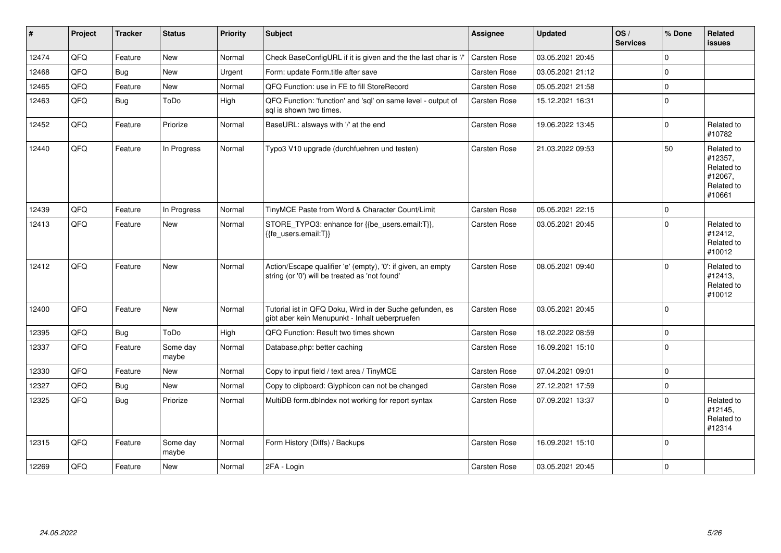| #     | Project | <b>Tracker</b> | <b>Status</b>     | <b>Priority</b> | Subject                                                                                                        | <b>Assignee</b>     | <b>Updated</b>   | OS/<br><b>Services</b> | % Done      | <b>Related</b><br><b>issues</b>                                        |
|-------|---------|----------------|-------------------|-----------------|----------------------------------------------------------------------------------------------------------------|---------------------|------------------|------------------------|-------------|------------------------------------------------------------------------|
| 12474 | QFQ     | Feature        | <b>New</b>        | Normal          | Check BaseConfigURL if it is given and the the last char is '/'                                                | Carsten Rose        | 03.05.2021 20:45 |                        | $\mathbf 0$ |                                                                        |
| 12468 | QFQ     | <b>Bug</b>     | <b>New</b>        | Urgent          | Form: update Form.title after save                                                                             | <b>Carsten Rose</b> | 03.05.2021 21:12 |                        | $\Omega$    |                                                                        |
| 12465 | QFQ     | Feature        | <b>New</b>        | Normal          | QFQ Function: use in FE to fill StoreRecord                                                                    | Carsten Rose        | 05.05.2021 21:58 |                        | $\pmb{0}$   |                                                                        |
| 12463 | QFQ     | Bug            | ToDo              | High            | QFQ Function: 'function' and 'sql' on same level - output of<br>sql is shown two times.                        | Carsten Rose        | 15.12.2021 16:31 |                        | $\mathbf 0$ |                                                                        |
| 12452 | QFQ     | Feature        | Priorize          | Normal          | BaseURL: alsways with '/' at the end                                                                           | Carsten Rose        | 19.06.2022 13:45 |                        | $\mathbf 0$ | Related to<br>#10782                                                   |
| 12440 | QFQ     | Feature        | In Progress       | Normal          | Typo3 V10 upgrade (durchfuehren und testen)                                                                    | Carsten Rose        | 21.03.2022 09:53 |                        | 50          | Related to<br>#12357,<br>Related to<br>#12067,<br>Related to<br>#10661 |
| 12439 | QFQ     | Feature        | In Progress       | Normal          | TinyMCE Paste from Word & Character Count/Limit                                                                | Carsten Rose        | 05.05.2021 22:15 |                        | $\pmb{0}$   |                                                                        |
| 12413 | QFQ     | Feature        | <b>New</b>        | Normal          | STORE_TYPO3: enhance for {{be_users.email:T}},<br>{{fe_users.email:T}}                                         | Carsten Rose        | 03.05.2021 20:45 |                        | $\Omega$    | Related to<br>#12412,<br>Related to<br>#10012                          |
| 12412 | QFQ     | Feature        | <b>New</b>        | Normal          | Action/Escape qualifier 'e' (empty), '0': if given, an empty<br>string (or '0') will be treated as 'not found' | Carsten Rose        | 08.05.2021 09:40 |                        | $\Omega$    | Related to<br>#12413,<br>Related to<br>#10012                          |
| 12400 | QFQ     | Feature        | <b>New</b>        | Normal          | Tutorial ist in QFQ Doku, Wird in der Suche gefunden, es<br>gibt aber kein Menupunkt - Inhalt ueberpruefen     | Carsten Rose        | 03.05.2021 20:45 |                        | $\mathbf 0$ |                                                                        |
| 12395 | QFQ     | <b>Bug</b>     | ToDo              | High            | QFQ Function: Result two times shown                                                                           | Carsten Rose        | 18.02.2022 08:59 |                        | $\pmb{0}$   |                                                                        |
| 12337 | QFQ     | Feature        | Some day<br>maybe | Normal          | Database.php: better caching                                                                                   | Carsten Rose        | 16.09.2021 15:10 |                        | $\mathbf 0$ |                                                                        |
| 12330 | QFQ     | Feature        | <b>New</b>        | Normal          | Copy to input field / text area / TinyMCE                                                                      | Carsten Rose        | 07.04.2021 09:01 |                        | $\mathbf 0$ |                                                                        |
| 12327 | QFQ     | Bug            | New               | Normal          | Copy to clipboard: Glyphicon can not be changed                                                                | Carsten Rose        | 27.12.2021 17:59 |                        | $\mathbf 0$ |                                                                        |
| 12325 | QFQ     | Bug            | Priorize          | Normal          | MultiDB form.dblndex not working for report syntax                                                             | Carsten Rose        | 07.09.2021 13:37 |                        | $\Omega$    | Related to<br>#12145,<br>Related to<br>#12314                          |
| 12315 | QFQ     | Feature        | Some day<br>maybe | Normal          | Form History (Diffs) / Backups                                                                                 | <b>Carsten Rose</b> | 16.09.2021 15:10 |                        | $\mathbf 0$ |                                                                        |
| 12269 | QFQ     | Feature        | <b>New</b>        | Normal          | 2FA - Login                                                                                                    | Carsten Rose        | 03.05.2021 20:45 |                        | $\pmb{0}$   |                                                                        |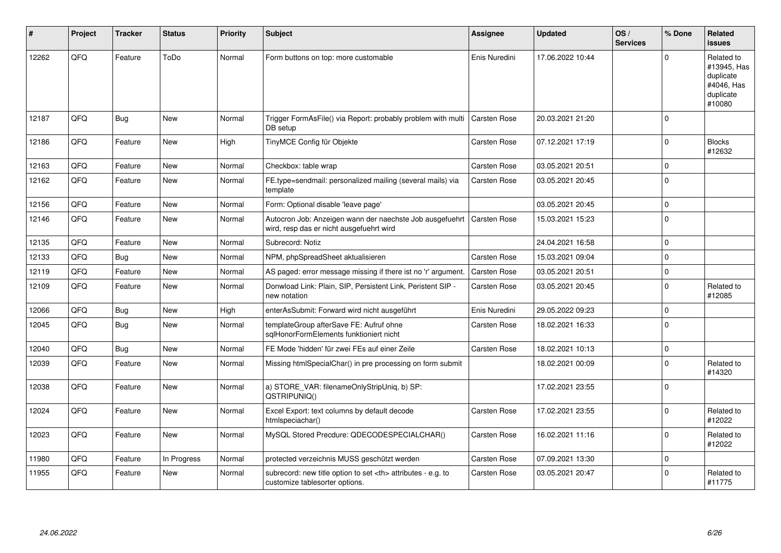| #     | Project | <b>Tracker</b> | <b>Status</b> | <b>Priority</b> | <b>Subject</b>                                                                                       | Assignee                                               | <b>Updated</b>      | OS/<br><b>Services</b> | % Done       | Related<br><b>issues</b>                                                    |                      |
|-------|---------|----------------|---------------|-----------------|------------------------------------------------------------------------------------------------------|--------------------------------------------------------|---------------------|------------------------|--------------|-----------------------------------------------------------------------------|----------------------|
| 12262 | QFQ     | Feature        | ToDo          | Normal          | Form buttons on top: more customable                                                                 | Enis Nuredini                                          | 17.06.2022 10:44    |                        | $\mathbf 0$  | Related to<br>#13945, Has<br>duplicate<br>#4046, Has<br>duplicate<br>#10080 |                      |
| 12187 | QFQ     | <b>Bug</b>     | <b>New</b>    | Normal          | Trigger FormAsFile() via Report: probably problem with multi<br>DB setup                             | <b>Carsten Rose</b>                                    | 20.03.2021 21:20    |                        | $\mathbf 0$  |                                                                             |                      |
| 12186 | QFQ     | Feature        | <b>New</b>    | High            | TinyMCE Config für Objekte                                                                           | Carsten Rose                                           | 07.12.2021 17:19    |                        | $\mathbf 0$  | <b>Blocks</b><br>#12632                                                     |                      |
| 12163 | QFQ     | Feature        | <b>New</b>    | Normal          | Checkbox: table wrap                                                                                 | <b>Carsten Rose</b>                                    | 03.05.2021 20:51    |                        | $\mathbf 0$  |                                                                             |                      |
| 12162 | QFQ     | Feature        | <b>New</b>    | Normal          | FE.type=sendmail: personalized mailing (several mails) via<br>template                               | <b>Carsten Rose</b>                                    | 03.05.2021 20:45    |                        | $\mathbf 0$  |                                                                             |                      |
| 12156 | QFQ     | Feature        | <b>New</b>    | Normal          | Form: Optional disable 'leave page'                                                                  |                                                        | 03.05.2021 20:45    |                        | $\mathbf 0$  |                                                                             |                      |
| 12146 | QFQ     | Feature        | <b>New</b>    | Normal          | Autocron Job: Anzeigen wann der naechste Job ausgefuehrt<br>wird, resp das er nicht ausgefuehrt wird | <b>Carsten Rose</b>                                    | 15.03.2021 15:23    |                        | $\mathbf{0}$ |                                                                             |                      |
| 12135 | QFQ     | Feature        | <b>New</b>    | Normal          | Subrecord: Notiz                                                                                     |                                                        | 24.04.2021 16:58    |                        | $\mathbf 0$  |                                                                             |                      |
| 12133 | QFQ     | <b>Bug</b>     | New           | Normal          | NPM, phpSpreadSheet aktualisieren                                                                    | Carsten Rose                                           | 15.03.2021 09:04    |                        | $\mathbf 0$  |                                                                             |                      |
| 12119 | QFQ     | Feature        | <b>New</b>    | Normal          | AS paged: error message missing if there ist no 'r' argument.                                        | <b>Carsten Rose</b>                                    | 03.05.2021 20:51    |                        | $\mathbf 0$  |                                                                             |                      |
| 12109 | QFQ     | Feature        | New           | Normal          | Donwload Link: Plain, SIP, Persistent Link, Peristent SIP -<br>new notation                          | Carsten Rose                                           | 03.05.2021 20:45    |                        | $\mathbf 0$  | Related to<br>#12085                                                        |                      |
| 12066 | QFQ     | <b>Bug</b>     | <b>New</b>    | High            | enterAsSubmit: Forward wird nicht ausgeführt                                                         | Enis Nuredini                                          | 29.05.2022 09:23    |                        | $\mathbf 0$  |                                                                             |                      |
| 12045 | QFQ     | <b>Bug</b>     | <b>New</b>    | Normal          | templateGroup afterSave FE: Aufruf ohne<br>sqlHonorFormElements funktioniert nicht                   | Carsten Rose                                           | 18.02.2021 16:33    |                        | $\Omega$     |                                                                             |                      |
| 12040 | QFQ     | <b>Bug</b>     | <b>New</b>    | Normal          | FE Mode 'hidden' für zwei FEs auf einer Zeile                                                        | Carsten Rose                                           | 18.02.2021 10:13    |                        | $\pmb{0}$    |                                                                             |                      |
| 12039 | QFQ     | Feature        | <b>New</b>    | Normal          | Missing htmlSpecialChar() in pre processing on form submit                                           |                                                        | 18.02.2021 00:09    |                        | $\mathbf 0$  | Related to<br>#14320                                                        |                      |
| 12038 | QFQ     | Feature        | <b>New</b>    | Normal          | a) STORE_VAR: filenameOnlyStripUniq, b) SP:<br>QSTRIPUNIQ()                                          |                                                        | 17.02.2021 23:55    |                        | $\mathbf 0$  |                                                                             |                      |
| 12024 | QFQ     | Feature        | <b>New</b>    | Normal          | Excel Export: text columns by default decode<br>htmlspeciachar()                                     | Carsten Rose                                           | 17.02.2021 23:55    |                        | $\mathbf 0$  | Related to<br>#12022                                                        |                      |
| 12023 | QFQ     | Feature        | <b>New</b>    | Normal          | MySQL Stored Precdure: QDECODESPECIALCHAR()                                                          | Carsten Rose                                           | 16.02.2021 11:16    |                        | $\mathbf 0$  | Related to<br>#12022                                                        |                      |
| 11980 | QFQ     | Feature        | In Progress   | Normal          | protected verzeichnis MUSS geschützt werden                                                          | <b>Carsten Rose</b>                                    | 07.09.2021 13:30    |                        | $\mathbf 0$  |                                                                             |                      |
| 11955 | QFQ     | Feature        | <b>New</b>    | Normal          | subrecord: new title option to set <th> attributes - e.g. to<br/>customize tablesorter options.</th> | attributes - e.g. to<br>customize tablesorter options. | <b>Carsten Rose</b> | 03.05.2021 20:47       |              | $\mathbf 0$                                                                 | Related to<br>#11775 |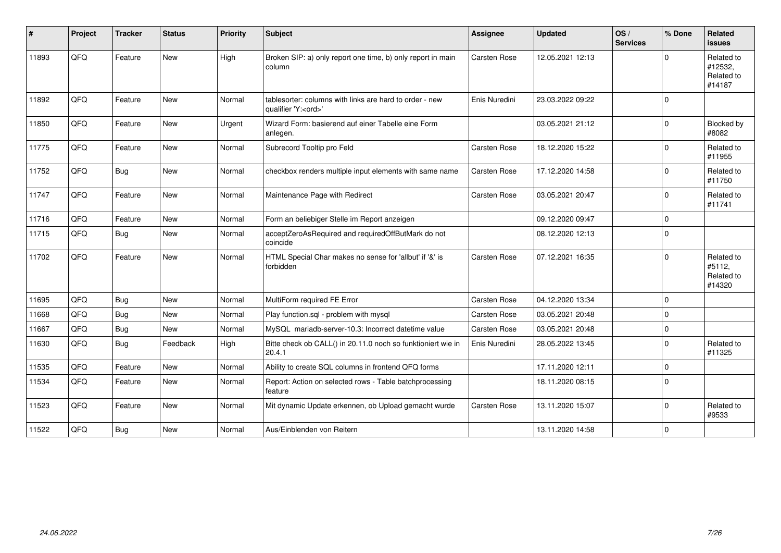| #     | Project | <b>Tracker</b> | <b>Status</b> | <b>Priority</b> | <b>Subject</b>                                                                        | Assignee            | <b>Updated</b>   | OS/<br><b>Services</b> | % Done      | Related<br>issues                             |
|-------|---------|----------------|---------------|-----------------|---------------------------------------------------------------------------------------|---------------------|------------------|------------------------|-------------|-----------------------------------------------|
| 11893 | QFQ     | Feature        | <b>New</b>    | High            | Broken SIP: a) only report one time, b) only report in main<br>column                 | <b>Carsten Rose</b> | 12.05.2021 12:13 |                        | $\Omega$    | Related to<br>#12532,<br>Related to<br>#14187 |
| 11892 | QFQ     | Feature        | <b>New</b>    | Normal          | tablesorter: columns with links are hard to order - new<br>qualifier 'Y: <ord>'</ord> | Enis Nuredini       | 23.03.2022 09:22 |                        | $\Omega$    |                                               |
| 11850 | QFQ     | Feature        | <b>New</b>    | Urgent          | Wizard Form: basierend auf einer Tabelle eine Form<br>anlegen.                        |                     | 03.05.2021 21:12 |                        | $\Omega$    | <b>Blocked by</b><br>#8082                    |
| 11775 | QFQ     | Feature        | <b>New</b>    | Normal          | Subrecord Tooltip pro Feld                                                            | Carsten Rose        | 18.12.2020 15:22 |                        | $\Omega$    | Related to<br>#11955                          |
| 11752 | QFQ     | Bug            | <b>New</b>    | Normal          | checkbox renders multiple input elements with same name                               | <b>Carsten Rose</b> | 17.12.2020 14:58 |                        | $\Omega$    | Related to<br>#11750                          |
| 11747 | QFQ     | Feature        | <b>New</b>    | Normal          | Maintenance Page with Redirect                                                        | Carsten Rose        | 03.05.2021 20:47 |                        | $\Omega$    | Related to<br>#11741                          |
| 11716 | QFQ     | Feature        | <b>New</b>    | Normal          | Form an beliebiger Stelle im Report anzeigen                                          |                     | 09.12.2020 09:47 |                        | $\Omega$    |                                               |
| 11715 | QFQ     | Bug            | <b>New</b>    | Normal          | acceptZeroAsRequired and requiredOffButMark do not<br>coincide                        |                     | 08.12.2020 12:13 |                        | $\Omega$    |                                               |
| 11702 | QFQ     | Feature        | New           | Normal          | HTML Special Char makes no sense for 'allbut' if '&' is<br>forbidden                  | Carsten Rose        | 07.12.2021 16:35 |                        | $\Omega$    | Related to<br>#5112,<br>Related to<br>#14320  |
| 11695 | QFQ     | Bug            | New           | Normal          | MultiForm required FE Error                                                           | Carsten Rose        | 04.12.2020 13:34 |                        | $\Omega$    |                                               |
| 11668 | QFQ     | Bug            | <b>New</b>    | Normal          | Play function.sgl - problem with mysgl                                                | <b>Carsten Rose</b> | 03.05.2021 20:48 |                        | $\Omega$    |                                               |
| 11667 | QFQ     | <b>Bug</b>     | New           | Normal          | MySQL mariadb-server-10.3: Incorrect datetime value                                   | Carsten Rose        | 03.05.2021 20:48 |                        | $\mathbf 0$ |                                               |
| 11630 | QFQ     | Bug            | Feedback      | High            | Bitte check ob CALL() in 20.11.0 noch so funktioniert wie in<br>20.4.1                | Enis Nuredini       | 28.05.2022 13:45 |                        | $\Omega$    | Related to<br>#11325                          |
| 11535 | QFQ     | Feature        | <b>New</b>    | Normal          | Ability to create SQL columns in frontend QFQ forms                                   |                     | 17.11.2020 12:11 |                        | $\Omega$    |                                               |
| 11534 | QFQ     | Feature        | <b>New</b>    | Normal          | Report: Action on selected rows - Table batchprocessing<br>feature                    |                     | 18.11.2020 08:15 |                        | $\Omega$    |                                               |
| 11523 | QFQ     | Feature        | New           | Normal          | Mit dynamic Update erkennen, ob Upload gemacht wurde                                  | Carsten Rose        | 13.11.2020 15:07 |                        | $\Omega$    | Related to<br>#9533                           |
| 11522 | QFQ     | <b>Bug</b>     | New           | Normal          | Aus/Einblenden von Reitern                                                            |                     | 13.11.2020 14:58 |                        | $\Omega$    |                                               |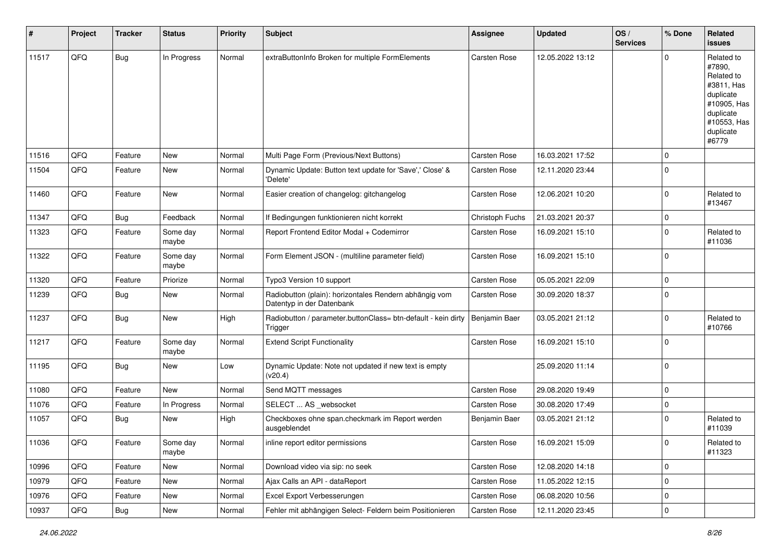| #     | Project | <b>Tracker</b> | <b>Status</b>     | <b>Priority</b> | <b>Subject</b>                                                                      | Assignee            | <b>Updated</b>   | OS/<br><b>Services</b> | % Done      | Related<br><b>issues</b>                                                                                                       |
|-------|---------|----------------|-------------------|-----------------|-------------------------------------------------------------------------------------|---------------------|------------------|------------------------|-------------|--------------------------------------------------------------------------------------------------------------------------------|
| 11517 | QFQ     | <b>Bug</b>     | In Progress       | Normal          | extraButtonInfo Broken for multiple FormElements                                    | <b>Carsten Rose</b> | 12.05.2022 13:12 |                        | $\mathbf 0$ | Related to<br>#7890,<br>Related to<br>#3811, Has<br>duplicate<br>#10905, Has<br>duplicate<br>#10553, Has<br>duplicate<br>#6779 |
| 11516 | QFQ     | Feature        | <b>New</b>        | Normal          | Multi Page Form (Previous/Next Buttons)                                             | <b>Carsten Rose</b> | 16.03.2021 17:52 |                        | $\mathbf 0$ |                                                                                                                                |
| 11504 | QFQ     | Feature        | New               | Normal          | Dynamic Update: Button text update for 'Save',' Close' &<br>'Delete'                | Carsten Rose        | 12.11.2020 23:44 |                        | $\mathbf 0$ |                                                                                                                                |
| 11460 | QFQ     | Feature        | <b>New</b>        | Normal          | Easier creation of changelog: gitchangelog                                          | <b>Carsten Rose</b> | 12.06.2021 10:20 |                        | $\mathbf 0$ | Related to<br>#13467                                                                                                           |
| 11347 | QFQ     | <b>Bug</b>     | Feedback          | Normal          | If Bedingungen funktionieren nicht korrekt                                          | Christoph Fuchs     | 21.03.2021 20:37 |                        | $\mathbf 0$ |                                                                                                                                |
| 11323 | QFQ     | Feature        | Some day<br>maybe | Normal          | Report Frontend Editor Modal + Codemirror                                           | Carsten Rose        | 16.09.2021 15:10 |                        | $\mathbf 0$ | Related to<br>#11036                                                                                                           |
| 11322 | QFQ     | Feature        | Some day<br>maybe | Normal          | Form Element JSON - (multiline parameter field)                                     | Carsten Rose        | 16.09.2021 15:10 |                        | $\mathbf 0$ |                                                                                                                                |
| 11320 | QFQ     | Feature        | Priorize          | Normal          | Typo3 Version 10 support                                                            | <b>Carsten Rose</b> | 05.05.2021 22:09 |                        | $\mathbf 0$ |                                                                                                                                |
| 11239 | QFQ     | <b>Bug</b>     | <b>New</b>        | Normal          | Radiobutton (plain): horizontales Rendern abhängig vom<br>Datentyp in der Datenbank | <b>Carsten Rose</b> | 30.09.2020 18:37 |                        | $\mathbf 0$ |                                                                                                                                |
| 11237 | QFQ     | <b>Bug</b>     | New               | High            | Radiobutton / parameter.buttonClass= btn-default - kein dirty<br>Trigger            | Benjamin Baer       | 03.05.2021 21:12 |                        | $\mathbf 0$ | Related to<br>#10766                                                                                                           |
| 11217 | QFQ     | Feature        | Some day<br>maybe | Normal          | <b>Extend Script Functionality</b>                                                  | Carsten Rose        | 16.09.2021 15:10 |                        | $\mathbf 0$ |                                                                                                                                |
| 11195 | QFQ     | <b>Bug</b>     | <b>New</b>        | Low             | Dynamic Update: Note not updated if new text is empty<br>(v20.4)                    |                     | 25.09.2020 11:14 |                        | $\mathbf 0$ |                                                                                                                                |
| 11080 | QFQ     | Feature        | New               | Normal          | Send MQTT messages                                                                  | <b>Carsten Rose</b> | 29.08.2020 19:49 |                        | $\mathbf 0$ |                                                                                                                                |
| 11076 | QFQ     | Feature        | In Progress       | Normal          | SELECT  AS _websocket                                                               | <b>Carsten Rose</b> | 30.08.2020 17:49 |                        | $\mathbf 0$ |                                                                                                                                |
| 11057 | QFQ     | <b>Bug</b>     | <b>New</b>        | High            | Checkboxes ohne span.checkmark im Report werden<br>ausgeblendet                     | Benjamin Baer       | 03.05.2021 21:12 |                        | $\mathbf 0$ | Related to<br>#11039                                                                                                           |
| 11036 | QFG     | Feature        | Some day<br>maybe | Normal          | inline report editor permissions                                                    | <b>Carsten Rose</b> | 16.09.2021 15:09 |                        | $\pmb{0}$   | Related to<br>#11323                                                                                                           |
| 10996 | QFQ     | Feature        | New               | Normal          | Download video via sip: no seek                                                     | Carsten Rose        | 12.08.2020 14:18 |                        | $\mathbf 0$ |                                                                                                                                |
| 10979 | QFQ     | Feature        | New               | Normal          | Ajax Calls an API - dataReport                                                      | Carsten Rose        | 11.05.2022 12:15 |                        | $\mathbf 0$ |                                                                                                                                |
| 10976 | QFQ     | Feature        | New               | Normal          | Excel Export Verbesserungen                                                         | Carsten Rose        | 06.08.2020 10:56 |                        | $\pmb{0}$   |                                                                                                                                |
| 10937 | QFQ     | Bug            | New               | Normal          | Fehler mit abhängigen Select- Feldern beim Positionieren                            | Carsten Rose        | 12.11.2020 23:45 |                        | $\pmb{0}$   |                                                                                                                                |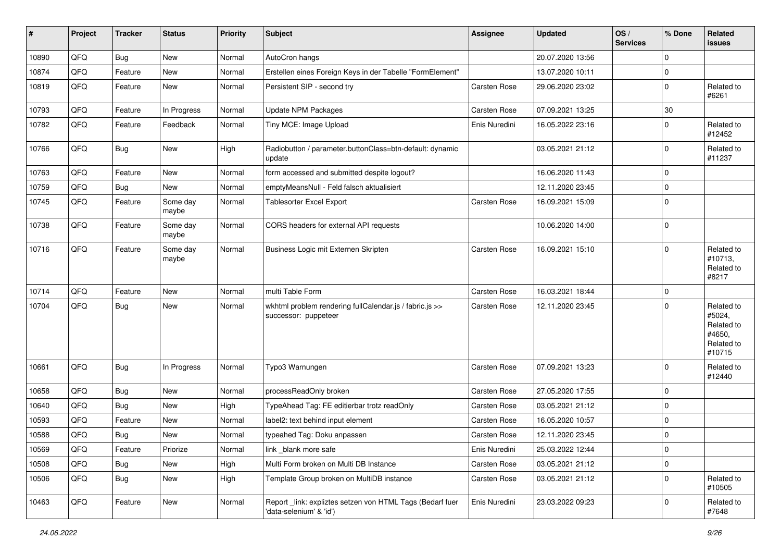| #     | Project | <b>Tracker</b> | <b>Status</b>     | <b>Priority</b> | <b>Subject</b>                                                                      | Assignee            | <b>Updated</b>   | OS/<br><b>Services</b> | % Done      | Related<br>issues                                                    |
|-------|---------|----------------|-------------------|-----------------|-------------------------------------------------------------------------------------|---------------------|------------------|------------------------|-------------|----------------------------------------------------------------------|
| 10890 | QFQ     | <b>Bug</b>     | New               | Normal          | AutoCron hangs                                                                      |                     | 20.07.2020 13:56 |                        | $\mathbf 0$ |                                                                      |
| 10874 | QFQ     | Feature        | <b>New</b>        | Normal          | Erstellen eines Foreign Keys in der Tabelle "FormElement"                           |                     | 13.07.2020 10:11 |                        | $\mathbf 0$ |                                                                      |
| 10819 | QFQ     | Feature        | New               | Normal          | Persistent SIP - second try                                                         | Carsten Rose        | 29.06.2020 23:02 |                        | $\mathbf 0$ | Related to<br>#6261                                                  |
| 10793 | QFQ     | Feature        | In Progress       | Normal          | Update NPM Packages                                                                 | <b>Carsten Rose</b> | 07.09.2021 13:25 |                        | 30          |                                                                      |
| 10782 | QFQ     | Feature        | Feedback          | Normal          | Tiny MCE: Image Upload                                                              | Enis Nuredini       | 16.05.2022 23:16 |                        | $\mathbf 0$ | Related to<br>#12452                                                 |
| 10766 | QFQ     | <b>Bug</b>     | New               | High            | Radiobutton / parameter.buttonClass=btn-default: dynamic<br>update                  |                     | 03.05.2021 21:12 |                        | $\mathbf 0$ | Related to<br>#11237                                                 |
| 10763 | QFQ     | Feature        | <b>New</b>        | Normal          | form accessed and submitted despite logout?                                         |                     | 16.06.2020 11:43 |                        | $\mathbf 0$ |                                                                      |
| 10759 | QFQ     | Bug            | <b>New</b>        | Normal          | emptyMeansNull - Feld falsch aktualisiert                                           |                     | 12.11.2020 23:45 |                        | $\mathbf 0$ |                                                                      |
| 10745 | QFQ     | Feature        | Some day<br>maybe | Normal          | Tablesorter Excel Export                                                            | <b>Carsten Rose</b> | 16.09.2021 15:09 |                        | $\mathbf 0$ |                                                                      |
| 10738 | QFQ     | Feature        | Some day<br>maybe | Normal          | CORS headers for external API requests                                              |                     | 10.06.2020 14:00 |                        | $\mathbf 0$ |                                                                      |
| 10716 | QFQ     | Feature        | Some day<br>maybe | Normal          | Business Logic mit Externen Skripten                                                | Carsten Rose        | 16.09.2021 15:10 |                        | $\mathbf 0$ | Related to<br>#10713,<br>Related to<br>#8217                         |
| 10714 | QFQ     | Feature        | <b>New</b>        | Normal          | multi Table Form                                                                    | Carsten Rose        | 16.03.2021 18:44 |                        | $\mathbf 0$ |                                                                      |
| 10704 | QFQ     | Bug            | New               | Normal          | wkhtml problem rendering fullCalendar.js / fabric.js >><br>successor: puppeteer     | Carsten Rose        | 12.11.2020 23:45 |                        | $\mathbf 0$ | Related to<br>#5024,<br>Related to<br>#4650,<br>Related to<br>#10715 |
| 10661 | QFQ     | <b>Bug</b>     | In Progress       | Normal          | Typo3 Warnungen                                                                     | Carsten Rose        | 07.09.2021 13:23 |                        | $\mathbf 0$ | Related to<br>#12440                                                 |
| 10658 | QFQ     | Bug            | New               | Normal          | processReadOnly broken                                                              | <b>Carsten Rose</b> | 27.05.2020 17:55 |                        | $\mathbf 0$ |                                                                      |
| 10640 | QFQ     | <b>Bug</b>     | <b>New</b>        | High            | TypeAhead Tag: FE editierbar trotz readOnly                                         | <b>Carsten Rose</b> | 03.05.2021 21:12 |                        | $\mathbf 0$ |                                                                      |
| 10593 | QFQ     | Feature        | New               | Normal          | label2: text behind input element                                                   | Carsten Rose        | 16.05.2020 10:57 |                        | $\mathbf 0$ |                                                                      |
| 10588 | QFQ     | <b>Bug</b>     | New               | Normal          | typeahed Tag: Doku anpassen                                                         | <b>Carsten Rose</b> | 12.11.2020 23:45 |                        | $\mathbf 0$ |                                                                      |
| 10569 | QFO     | Feature        | Priorize          | Normal          | link _blank more safe                                                               | Enis Nuredini       | 25.03.2022 12:44 |                        | $\pmb{0}$   |                                                                      |
| 10508 | QFQ     | <b>Bug</b>     | New               | High            | Multi Form broken on Multi DB Instance                                              | Carsten Rose        | 03.05.2021 21:12 |                        | $\mathbf 0$ |                                                                      |
| 10506 | QFQ     | Bug            | New               | High            | Template Group broken on MultiDB instance                                           | Carsten Rose        | 03.05.2021 21:12 |                        | $\mathbf 0$ | Related to<br>#10505                                                 |
| 10463 | QFO     | Feature        | New               | Normal          | Report link: expliztes setzen von HTML Tags (Bedarf fuer<br>'data-selenium' & 'id') | Enis Nuredini       | 23.03.2022 09:23 |                        | $\pmb{0}$   | Related to<br>#7648                                                  |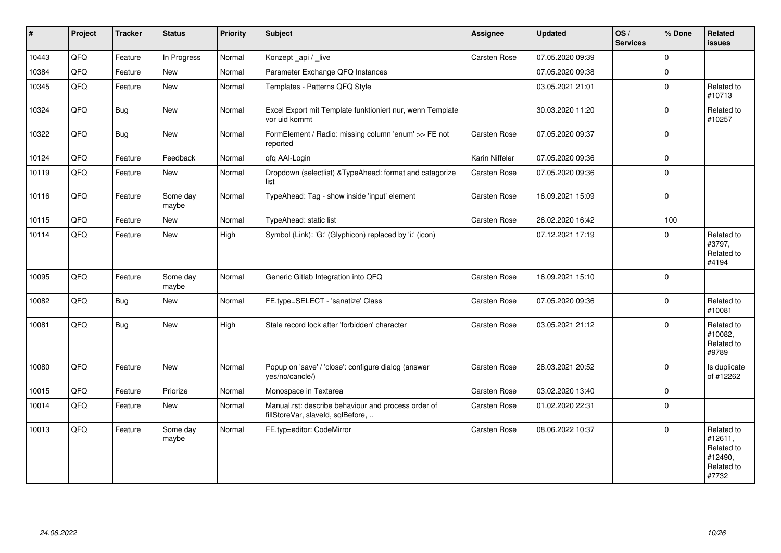| $\vert$ # | Project | <b>Tracker</b> | <b>Status</b>     | <b>Priority</b> | <b>Subject</b>                                                                           | Assignee            | <b>Updated</b>   | OS/<br><b>Services</b> | % Done      | Related<br><b>issues</b>                                              |
|-----------|---------|----------------|-------------------|-----------------|------------------------------------------------------------------------------------------|---------------------|------------------|------------------------|-------------|-----------------------------------------------------------------------|
| 10443     | QFQ     | Feature        | In Progress       | Normal          | Konzept_api / _live                                                                      | Carsten Rose        | 07.05.2020 09:39 |                        | $\mathbf 0$ |                                                                       |
| 10384     | QFQ     | Feature        | <b>New</b>        | Normal          | Parameter Exchange QFQ Instances                                                         |                     | 07.05.2020 09:38 |                        | $\pmb{0}$   |                                                                       |
| 10345     | QFQ     | Feature        | New               | Normal          | Templates - Patterns QFQ Style                                                           |                     | 03.05.2021 21:01 |                        | $\pmb{0}$   | Related to<br>#10713                                                  |
| 10324     | QFQ     | Bug            | New               | Normal          | Excel Export mit Template funktioniert nur, wenn Template<br>vor uid kommt               |                     | 30.03.2020 11:20 |                        | $\mathbf 0$ | Related to<br>#10257                                                  |
| 10322     | QFQ     | Bug            | New               | Normal          | FormElement / Radio: missing column 'enum' >> FE not<br>reported                         | Carsten Rose        | 07.05.2020 09:37 |                        | $\pmb{0}$   |                                                                       |
| 10124     | QFQ     | Feature        | Feedback          | Normal          | qfq AAI-Login                                                                            | Karin Niffeler      | 07.05.2020 09:36 |                        | $\pmb{0}$   |                                                                       |
| 10119     | QFQ     | Feature        | New               | Normal          | Dropdown (selectlist) & TypeAhead: format and catagorize<br>list                         | <b>Carsten Rose</b> | 07.05.2020 09:36 |                        | $\mathbf 0$ |                                                                       |
| 10116     | QFQ     | Feature        | Some day<br>maybe | Normal          | TypeAhead: Tag - show inside 'input' element                                             | Carsten Rose        | 16.09.2021 15:09 |                        | $\mathbf 0$ |                                                                       |
| 10115     | QFQ     | Feature        | New               | Normal          | TypeAhead: static list                                                                   | Carsten Rose        | 26.02.2020 16:42 |                        | 100         |                                                                       |
| 10114     | QFQ     | Feature        | New               | High            | Symbol (Link): 'G:' (Glyphicon) replaced by 'i:' (icon)                                  |                     | 07.12.2021 17:19 |                        | $\mathbf 0$ | Related to<br>#3797,<br>Related to<br>#4194                           |
| 10095     | QFQ     | Feature        | Some day<br>maybe | Normal          | Generic Gitlab Integration into QFQ                                                      | <b>Carsten Rose</b> | 16.09.2021 15:10 |                        | $\mathbf 0$ |                                                                       |
| 10082     | QFQ     | Bug            | New               | Normal          | FE.type=SELECT - 'sanatize' Class                                                        | Carsten Rose        | 07.05.2020 09:36 |                        | $\Omega$    | Related to<br>#10081                                                  |
| 10081     | QFQ     | Bug            | New               | High            | Stale record lock after 'forbidden' character                                            | Carsten Rose        | 03.05.2021 21:12 |                        | $\mathbf 0$ | Related to<br>#10082,<br>Related to<br>#9789                          |
| 10080     | QFQ     | Feature        | New               | Normal          | Popup on 'save' / 'close': configure dialog (answer<br>yes/no/cancle/)                   | Carsten Rose        | 28.03.2021 20:52 |                        | $\mathbf 0$ | Is duplicate<br>of #12262                                             |
| 10015     | QFQ     | Feature        | Priorize          | Normal          | Monospace in Textarea                                                                    | Carsten Rose        | 03.02.2020 13:40 |                        | $\pmb{0}$   |                                                                       |
| 10014     | QFQ     | Feature        | New               | Normal          | Manual.rst: describe behaviour and process order of<br>fillStoreVar, slaveId, sqlBefore, | <b>Carsten Rose</b> | 01.02.2020 22:31 |                        | $\mathbf 0$ |                                                                       |
| 10013     | QFQ     | Feature        | Some day<br>maybe | Normal          | FE.typ=editor: CodeMirror                                                                | Carsten Rose        | 08.06.2022 10:37 |                        | $\mathbf 0$ | Related to<br>#12611,<br>Related to<br>#12490,<br>Related to<br>#7732 |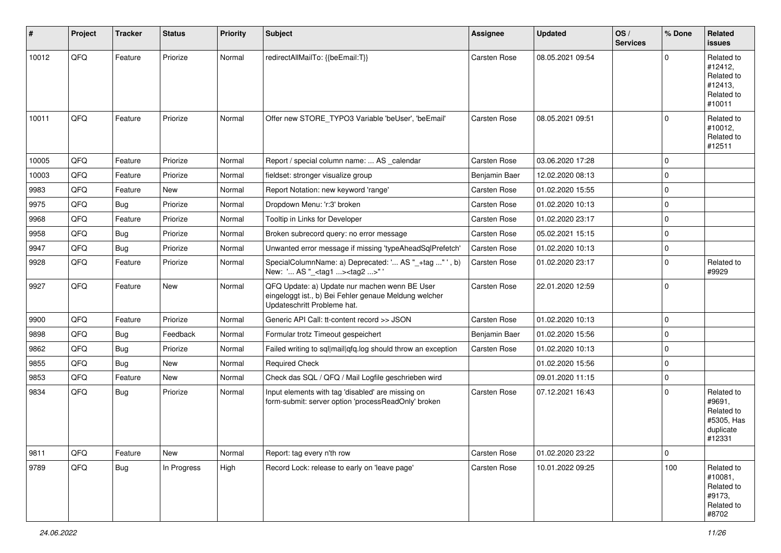| #     | Project | <b>Tracker</b> | <b>Status</b> | <b>Priority</b> | Subject                                                                                                                               | Assignee            | <b>Updated</b>   | OS/<br><b>Services</b> | % Done      | Related<br><b>issues</b>                                                |
|-------|---------|----------------|---------------|-----------------|---------------------------------------------------------------------------------------------------------------------------------------|---------------------|------------------|------------------------|-------------|-------------------------------------------------------------------------|
| 10012 | QFQ     | Feature        | Priorize      | Normal          | redirectAllMailTo: {{beEmail:T}}                                                                                                      | <b>Carsten Rose</b> | 08.05.2021 09:54 |                        | $\Omega$    | Related to<br>#12412,<br>Related to<br>#12413,<br>Related to<br>#10011  |
| 10011 | QFQ     | Feature        | Priorize      | Normal          | Offer new STORE_TYPO3 Variable 'beUser', 'beEmail'                                                                                    | <b>Carsten Rose</b> | 08.05.2021 09:51 |                        | $\mathbf 0$ | Related to<br>#10012,<br>Related to<br>#12511                           |
| 10005 | QFQ     | Feature        | Priorize      | Normal          | Report / special column name:  AS _calendar                                                                                           | Carsten Rose        | 03.06.2020 17:28 |                        | $\mathbf 0$ |                                                                         |
| 10003 | QFQ     | Feature        | Priorize      | Normal          | fieldset: stronger visualize group                                                                                                    | Benjamin Baer       | 12.02.2020 08:13 |                        | $\mathbf 0$ |                                                                         |
| 9983  | QFQ     | Feature        | New           | Normal          | Report Notation: new keyword 'range'                                                                                                  | <b>Carsten Rose</b> | 01.02.2020 15:55 |                        | $\mathbf 0$ |                                                                         |
| 9975  | QFQ     | <b>Bug</b>     | Priorize      | Normal          | Dropdown Menu: 'r:3' broken                                                                                                           | Carsten Rose        | 01.02.2020 10:13 |                        | $\mathbf 0$ |                                                                         |
| 9968  | QFQ     | Feature        | Priorize      | Normal          | Tooltip in Links for Developer                                                                                                        | <b>Carsten Rose</b> | 01.02.2020 23:17 |                        | $\mathbf 0$ |                                                                         |
| 9958  | QFQ     | <b>Bug</b>     | Priorize      | Normal          | Broken subrecord query: no error message                                                                                              | Carsten Rose        | 05.02.2021 15:15 |                        | $\mathbf 0$ |                                                                         |
| 9947  | QFQ     | <b>Bug</b>     | Priorize      | Normal          | Unwanted error message if missing 'typeAheadSqlPrefetch'                                                                              | Carsten Rose        | 01.02.2020 10:13 |                        | $\mathbf 0$ |                                                                         |
| 9928  | QFQ     | Feature        | Priorize      | Normal          | SpecialColumnName: a) Deprecated: ' AS "_+tag "', b)<br>New: ' AS "_ <tag1><tag2>" '</tag2></tag1>                                    | Carsten Rose        | 01.02.2020 23:17 |                        | $\mathbf 0$ | Related to<br>#9929                                                     |
| 9927  | QFQ     | Feature        | <b>New</b>    | Normal          | QFQ Update: a) Update nur machen wenn BE User<br>eingeloggt ist., b) Bei Fehler genaue Meldung welcher<br>Updateschritt Probleme hat. | Carsten Rose        | 22.01.2020 12:59 |                        | $\mathbf 0$ |                                                                         |
| 9900  | QFQ     | Feature        | Priorize      | Normal          | Generic API Call: tt-content record >> JSON                                                                                           | Carsten Rose        | 01.02.2020 10:13 |                        | $\mathbf 0$ |                                                                         |
| 9898  | QFQ     | <b>Bug</b>     | Feedback      | Normal          | Formular trotz Timeout gespeichert                                                                                                    | Benjamin Baer       | 01.02.2020 15:56 |                        | $\mathbf 0$ |                                                                         |
| 9862  | QFQ     | <b>Bug</b>     | Priorize      | Normal          | Failed writing to sql mail qfq.log should throw an exception                                                                          | Carsten Rose        | 01.02.2020 10:13 |                        | $\mathbf 0$ |                                                                         |
| 9855  | QFQ     | <b>Bug</b>     | <b>New</b>    | Normal          | <b>Required Check</b>                                                                                                                 |                     | 01.02.2020 15:56 |                        | $\mathbf 0$ |                                                                         |
| 9853  | QFQ     | Feature        | New           | Normal          | Check das SQL / QFQ / Mail Logfile geschrieben wird                                                                                   |                     | 09.01.2020 11:15 |                        | $\mathbf 0$ |                                                                         |
| 9834  | QFQ     | Bug            | Priorize      | Normal          | Input elements with tag 'disabled' are missing on<br>form-submit: server option 'processReadOnly' broken                              | Carsten Rose        | 07.12.2021 16:43 |                        | $\mathbf 0$ | Related to<br>#9691,<br>Related to<br>#5305, Has<br>duplicate<br>#12331 |
| 9811  | QFQ     | Feature        | New           | Normal          | Report: tag every n'th row                                                                                                            | Carsten Rose        | 01.02.2020 23:22 |                        | $\pmb{0}$   |                                                                         |
| 9789  | QFQ     | Bug            | In Progress   | High            | Record Lock: release to early on 'leave page'                                                                                         | Carsten Rose        | 10.01.2022 09:25 |                        | 100         | Related to<br>#10081,<br>Related to<br>#9173,<br>Related to<br>#8702    |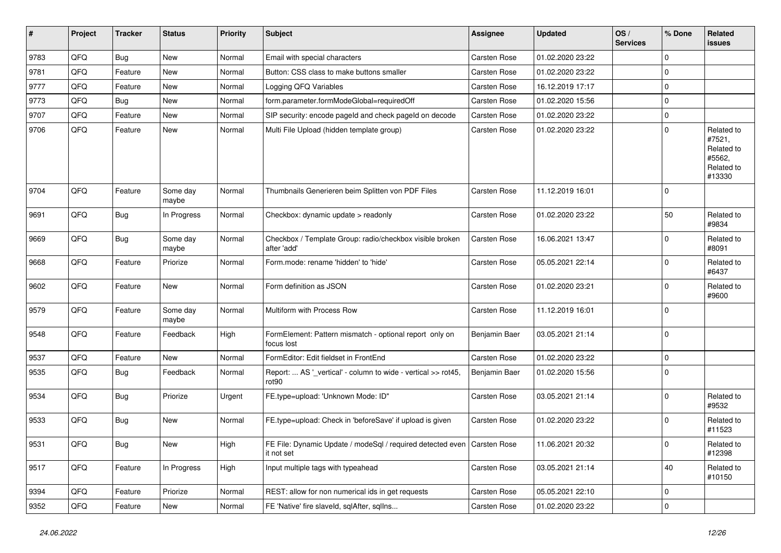| #    | Project | <b>Tracker</b> | <b>Status</b>     | <b>Priority</b> | Subject                                                                               | Assignee      | <b>Updated</b>   | OS/<br><b>Services</b> | % Done      | Related<br>issues                                                    |
|------|---------|----------------|-------------------|-----------------|---------------------------------------------------------------------------------------|---------------|------------------|------------------------|-------------|----------------------------------------------------------------------|
| 9783 | QFQ     | <b>Bug</b>     | <b>New</b>        | Normal          | Email with special characters                                                         | Carsten Rose  | 01.02.2020 23:22 |                        | 0           |                                                                      |
| 9781 | QFQ     | Feature        | <b>New</b>        | Normal          | Button: CSS class to make buttons smaller                                             | Carsten Rose  | 01.02.2020 23:22 |                        | 0           |                                                                      |
| 9777 | QFQ     | Feature        | New               | Normal          | Logging QFQ Variables                                                                 | Carsten Rose  | 16.12.2019 17:17 |                        | $\mathbf 0$ |                                                                      |
| 9773 | QFQ     | Bug            | New               | Normal          | form.parameter.formModeGlobal=requiredOff                                             | Carsten Rose  | 01.02.2020 15:56 |                        | $\pmb{0}$   |                                                                      |
| 9707 | QFQ     | Feature        | New               | Normal          | SIP security: encode pageld and check pageld on decode                                | Carsten Rose  | 01.02.2020 23:22 |                        | 0           |                                                                      |
| 9706 | QFQ     | Feature        | New               | Normal          | Multi File Upload (hidden template group)                                             | Carsten Rose  | 01.02.2020 23:22 |                        | $\mathbf 0$ | Related to<br>#7521,<br>Related to<br>#5562,<br>Related to<br>#13330 |
| 9704 | QFQ     | Feature        | Some day<br>maybe | Normal          | Thumbnails Generieren beim Splitten von PDF Files                                     | Carsten Rose  | 11.12.2019 16:01 |                        | $\Omega$    |                                                                      |
| 9691 | QFQ     | Bug            | In Progress       | Normal          | Checkbox: dynamic update > readonly                                                   | Carsten Rose  | 01.02.2020 23:22 |                        | 50          | Related to<br>#9834                                                  |
| 9669 | QFQ     | <b>Bug</b>     | Some day<br>maybe | Normal          | Checkbox / Template Group: radio/checkbox visible broken<br>after 'add'               | Carsten Rose  | 16.06.2021 13:47 |                        | $\mathbf 0$ | Related to<br>#8091                                                  |
| 9668 | QFQ     | Feature        | Priorize          | Normal          | Form.mode: rename 'hidden' to 'hide'                                                  | Carsten Rose  | 05.05.2021 22:14 |                        | $\mathbf 0$ | Related to<br>#6437                                                  |
| 9602 | QFQ     | Feature        | New               | Normal          | Form definition as JSON                                                               | Carsten Rose  | 01.02.2020 23:21 |                        | $\mathbf 0$ | Related to<br>#9600                                                  |
| 9579 | QFQ     | Feature        | Some day<br>maybe | Normal          | Multiform with Process Row                                                            | Carsten Rose  | 11.12.2019 16:01 |                        | $\mathbf 0$ |                                                                      |
| 9548 | QFQ     | Feature        | Feedback          | High            | FormElement: Pattern mismatch - optional report only on<br>focus lost                 | Benjamin Baer | 03.05.2021 21:14 |                        | $\mathbf 0$ |                                                                      |
| 9537 | QFQ     | Feature        | <b>New</b>        | Normal          | FormEditor: Edit fieldset in FrontEnd                                                 | Carsten Rose  | 01.02.2020 23:22 |                        | $\mathbf 0$ |                                                                      |
| 9535 | QFQ     | <b>Bug</b>     | Feedback          | Normal          | Report:  AS '_vertical' - column to wide - vertical >> rot45,<br>rot <sub>90</sub>    | Benjamin Baer | 01.02.2020 15:56 |                        | $\Omega$    |                                                                      |
| 9534 | QFQ     | Bug            | Priorize          | Urgent          | FE.type=upload: 'Unknown Mode: ID"                                                    | Carsten Rose  | 03.05.2021 21:14 |                        | $\mathbf 0$ | Related to<br>#9532                                                  |
| 9533 | QFQ     | Bug            | <b>New</b>        | Normal          | FE.type=upload: Check in 'beforeSave' if upload is given                              | Carsten Rose  | 01.02.2020 23:22 |                        | $\pmb{0}$   | Related to<br>#11523                                                 |
| 9531 | QFQ     | Bug            | New               | High            | FE File: Dynamic Update / modeSql / required detected even Carsten Rose<br>it not set |               | 11.06.2021 20:32 |                        | $\bf{0}$    | Related to<br>#12398                                                 |
| 9517 | QFQ     | Feature        | In Progress       | High            | Input multiple tags with typeahead                                                    | Carsten Rose  | 03.05.2021 21:14 |                        | 40          | Related to<br>#10150                                                 |
| 9394 | QFQ     | Feature        | Priorize          | Normal          | REST: allow for non numerical ids in get requests                                     | Carsten Rose  | 05.05.2021 22:10 |                        | $\pmb{0}$   |                                                                      |
| 9352 | QFQ     | Feature        | New               | Normal          | FE 'Native' fire slaveld, sqlAfter, sqlIns                                            | Carsten Rose  | 01.02.2020 23:22 |                        | $\pmb{0}$   |                                                                      |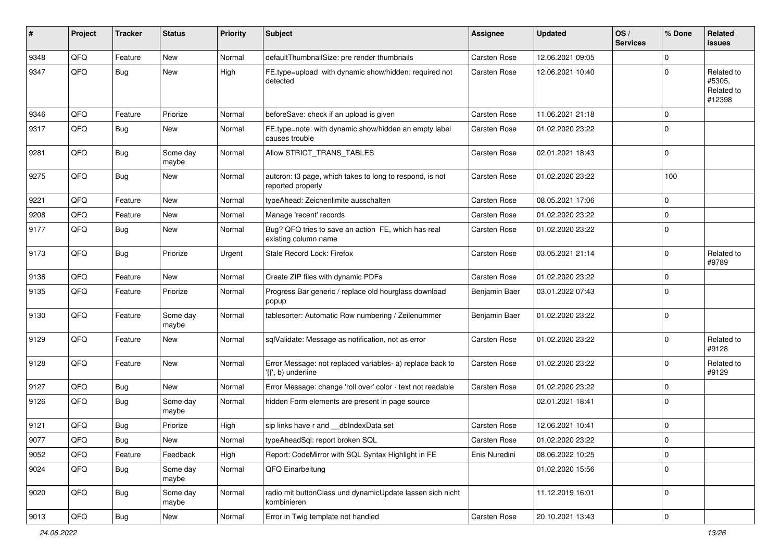| #    | Project | <b>Tracker</b> | <b>Status</b>     | <b>Priority</b> | <b>Subject</b>                                                                  | <b>Assignee</b>     | <b>Updated</b>   | OS/<br><b>Services</b> | % Done      | Related<br><b>issues</b>                     |
|------|---------|----------------|-------------------|-----------------|---------------------------------------------------------------------------------|---------------------|------------------|------------------------|-------------|----------------------------------------------|
| 9348 | QFQ     | Feature        | <b>New</b>        | Normal          | defaultThumbnailSize: pre render thumbnails                                     | Carsten Rose        | 12.06.2021 09:05 |                        | $\mathbf 0$ |                                              |
| 9347 | QFQ     | <b>Bug</b>     | <b>New</b>        | High            | FE.type=upload with dynamic show/hidden: required not<br>detected               | <b>Carsten Rose</b> | 12.06.2021 10:40 |                        | $\mathbf 0$ | Related to<br>#5305,<br>Related to<br>#12398 |
| 9346 | QFQ     | Feature        | Priorize          | Normal          | beforeSave: check if an upload is given                                         | Carsten Rose        | 11.06.2021 21:18 |                        | $\mathbf 0$ |                                              |
| 9317 | QFQ     | Bug            | New               | Normal          | FE.type=note: with dynamic show/hidden an empty label<br>causes trouble         | <b>Carsten Rose</b> | 01.02.2020 23:22 |                        | $\mathbf 0$ |                                              |
| 9281 | QFQ     | <b>Bug</b>     | Some day<br>maybe | Normal          | Allow STRICT_TRANS_TABLES                                                       | <b>Carsten Rose</b> | 02.01.2021 18:43 |                        | $\mathbf 0$ |                                              |
| 9275 | QFQ     | Bug            | New               | Normal          | autcron: t3 page, which takes to long to respond, is not<br>reported properly   | <b>Carsten Rose</b> | 01.02.2020 23:22 |                        | 100         |                                              |
| 9221 | QFQ     | Feature        | <b>New</b>        | Normal          | typeAhead: Zeichenlimite ausschalten                                            | <b>Carsten Rose</b> | 08.05.2021 17:06 |                        | $\mathbf 0$ |                                              |
| 9208 | QFQ     | Feature        | <b>New</b>        | Normal          | Manage 'recent' records                                                         | Carsten Rose        | 01.02.2020 23:22 |                        | $\mathbf 0$ |                                              |
| 9177 | QFQ     | <b>Bug</b>     | New               | Normal          | Bug? QFQ tries to save an action FE, which has real<br>existing column name     | <b>Carsten Rose</b> | 01.02.2020 23:22 |                        | $\mathbf 0$ |                                              |
| 9173 | QFQ     | <b>Bug</b>     | Priorize          | Urgent          | Stale Record Lock: Firefox                                                      | <b>Carsten Rose</b> | 03.05.2021 21:14 |                        | $\mathbf 0$ | Related to<br>#9789                          |
| 9136 | QFQ     | Feature        | New               | Normal          | Create ZIP files with dynamic PDFs                                              | Carsten Rose        | 01.02.2020 23:22 |                        | $\mathbf 0$ |                                              |
| 9135 | QFQ     | Feature        | Priorize          | Normal          | Progress Bar generic / replace old hourglass download<br>popup                  | Benjamin Baer       | 03.01.2022 07:43 |                        | $\mathbf 0$ |                                              |
| 9130 | QFQ     | Feature        | Some day<br>maybe | Normal          | tablesorter: Automatic Row numbering / Zeilenummer                              | Benjamin Baer       | 01.02.2020 23:22 |                        | $\mathbf 0$ |                                              |
| 9129 | QFQ     | Feature        | <b>New</b>        | Normal          | sqlValidate: Message as notification, not as error                              | Carsten Rose        | 01.02.2020 23:22 |                        | $\mathbf 0$ | Related to<br>#9128                          |
| 9128 | QFQ     | Feature        | New               | Normal          | Error Message: not replaced variables- a) replace back to<br>'{{', b) underline | <b>Carsten Rose</b> | 01.02.2020 23:22 |                        | $\mathbf 0$ | Related to<br>#9129                          |
| 9127 | QFQ     | <b>Bug</b>     | <b>New</b>        | Normal          | Error Message: change 'roll over' color - text not readable                     | Carsten Rose        | 01.02.2020 23:22 |                        | $\mathbf 0$ |                                              |
| 9126 | QFQ     | <b>Bug</b>     | Some day<br>maybe | Normal          | hidden Form elements are present in page source                                 |                     | 02.01.2021 18:41 |                        | $\mathbf 0$ |                                              |
| 9121 | QFQ     | <b>Bug</b>     | Priorize          | High            | sip links have r and __dbIndexData set                                          | <b>Carsten Rose</b> | 12.06.2021 10:41 |                        | $\mathbf 0$ |                                              |
| 9077 | QFQ     | Bug            | New               | Normal          | typeAheadSql: report broken SQL                                                 | <b>Carsten Rose</b> | 01.02.2020 23:22 |                        | $\Omega$    |                                              |
| 9052 | QFQ     | Feature        | Feedback          | High            | Report: CodeMirror with SQL Syntax Highlight in FE                              | Enis Nuredini       | 08.06.2022 10:25 |                        | $\mathbf 0$ |                                              |
| 9024 | QFQ     | Bug            | Some day<br>maybe | Normal          | QFQ Einarbeitung                                                                |                     | 01.02.2020 15:56 |                        | $\mathbf 0$ |                                              |
| 9020 | QFQ     | <b>Bug</b>     | Some day<br>maybe | Normal          | radio mit buttonClass und dynamicUpdate lassen sich nicht<br>kombinieren        |                     | 11.12.2019 16:01 |                        | $\mathsf 0$ |                                              |
| 9013 | QFQ     | <b>Bug</b>     | New               | Normal          | Error in Twig template not handled                                              | Carsten Rose        | 20.10.2021 13:43 |                        | $\mathsf 0$ |                                              |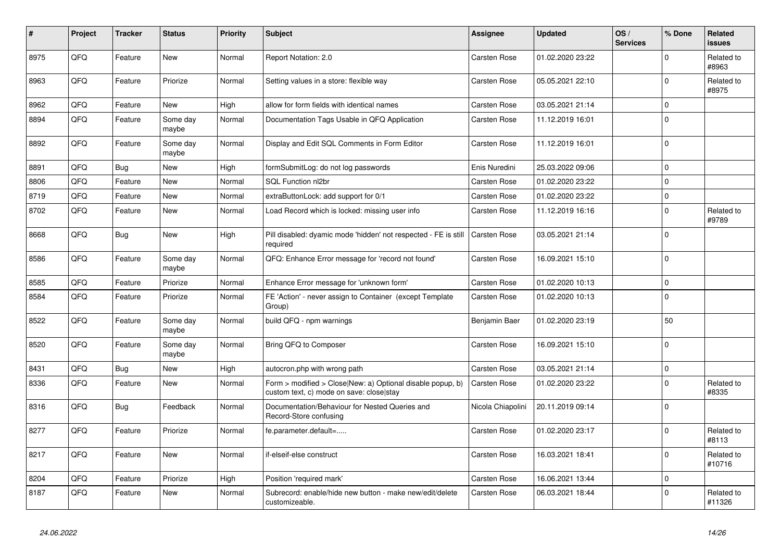| #    | Project | <b>Tracker</b> | <b>Status</b>     | <b>Priority</b> | <b>Subject</b>                                                                                         | Assignee            | <b>Updated</b>   | OS/<br><b>Services</b> | % Done      | Related<br><b>issues</b> |
|------|---------|----------------|-------------------|-----------------|--------------------------------------------------------------------------------------------------------|---------------------|------------------|------------------------|-------------|--------------------------|
| 8975 | QFQ     | Feature        | New               | Normal          | Report Notation: 2.0                                                                                   | <b>Carsten Rose</b> | 01.02.2020 23:22 |                        | $\Omega$    | Related to<br>#8963      |
| 8963 | QFQ     | Feature        | Priorize          | Normal          | Setting values in a store: flexible way                                                                | <b>Carsten Rose</b> | 05.05.2021 22:10 |                        | $\mathbf 0$ | Related to<br>#8975      |
| 8962 | QFQ     | Feature        | <b>New</b>        | High            | allow for form fields with identical names                                                             | Carsten Rose        | 03.05.2021 21:14 |                        | $\mathbf 0$ |                          |
| 8894 | QFQ     | Feature        | Some day<br>maybe | Normal          | Documentation Tags Usable in QFQ Application                                                           | <b>Carsten Rose</b> | 11.12.2019 16:01 |                        | $\mathbf 0$ |                          |
| 8892 | QFQ     | Feature        | Some day<br>maybe | Normal          | Display and Edit SQL Comments in Form Editor                                                           | Carsten Rose        | 11.12.2019 16:01 |                        | $\Omega$    |                          |
| 8891 | QFQ     | <b>Bug</b>     | <b>New</b>        | High            | formSubmitLog: do not log passwords                                                                    | Enis Nuredini       | 25.03.2022 09:06 |                        | $\mathbf 0$ |                          |
| 8806 | QFQ     | Feature        | New               | Normal          | SQL Function nl2br                                                                                     | Carsten Rose        | 01.02.2020 23:22 |                        | $\mathbf 0$ |                          |
| 8719 | QFQ     | Feature        | New               | Normal          | extraButtonLock: add support for 0/1                                                                   | Carsten Rose        | 01.02.2020 23:22 |                        | $\mathbf 0$ |                          |
| 8702 | QFQ     | Feature        | New               | Normal          | Load Record which is locked: missing user info                                                         | Carsten Rose        | 11.12.2019 16:16 |                        | $\mathbf 0$ | Related to<br>#9789      |
| 8668 | QFQ     | <b>Bug</b>     | New               | High            | Pill disabled: dyamic mode 'hidden' not respected - FE is still<br>required                            | <b>Carsten Rose</b> | 03.05.2021 21:14 |                        | $\Omega$    |                          |
| 8586 | QFQ     | Feature        | Some day<br>maybe | Normal          | QFQ: Enhance Error message for 'record not found'                                                      | Carsten Rose        | 16.09.2021 15:10 |                        | $\mathbf 0$ |                          |
| 8585 | QFQ     | Feature        | Priorize          | Normal          | Enhance Error message for 'unknown form'                                                               | <b>Carsten Rose</b> | 01.02.2020 10:13 |                        | $\mathbf 0$ |                          |
| 8584 | QFQ     | Feature        | Priorize          | Normal          | FE 'Action' - never assign to Container (except Template)<br>Group)                                    | Carsten Rose        | 01.02.2020 10:13 |                        | $\mathbf 0$ |                          |
| 8522 | QFQ     | Feature        | Some day<br>maybe | Normal          | build QFQ - npm warnings                                                                               | Benjamin Baer       | 01.02.2020 23:19 |                        | 50          |                          |
| 8520 | QFQ     | Feature        | Some day<br>maybe | Normal          | Bring QFQ to Composer                                                                                  | Carsten Rose        | 16.09.2021 15:10 |                        | $\Omega$    |                          |
| 8431 | QFQ     | <b>Bug</b>     | <b>New</b>        | High            | autocron.php with wrong path                                                                           | <b>Carsten Rose</b> | 03.05.2021 21:14 |                        | $\mathbf 0$ |                          |
| 8336 | QFQ     | Feature        | <b>New</b>        | Normal          | Form > modified > Close New: a) Optional disable popup, b)<br>custom text, c) mode on save: close stay | Carsten Rose        | 01.02.2020 23:22 |                        | $\Omega$    | Related to<br>#8335      |
| 8316 | QFQ     | Bug            | Feedback          | Normal          | Documentation/Behaviour for Nested Queries and<br>Record-Store confusing                               | Nicola Chiapolini   | 20.11.2019 09:14 |                        | $\mathbf 0$ |                          |
| 8277 | QFQ     | Feature        | Priorize          | Normal          | fe.parameter.default=                                                                                  | Carsten Rose        | 01.02.2020 23:17 |                        | $\mathbf 0$ | Related to<br>#8113      |
| 8217 | QFQ     | Feature        | New               | Normal          | if-elseif-else construct                                                                               | Carsten Rose        | 16.03.2021 18:41 |                        | $\Omega$    | Related to<br>#10716     |
| 8204 | QFQ     | Feature        | Priorize          | High            | Position 'required mark'                                                                               | Carsten Rose        | 16.06.2021 13:44 |                        | $\mathbf 0$ |                          |
| 8187 | QFQ     | Feature        | New               | Normal          | Subrecord: enable/hide new button - make new/edit/delete<br>customizeable.                             | Carsten Rose        | 06.03.2021 18:44 |                        | $\Omega$    | Related to<br>#11326     |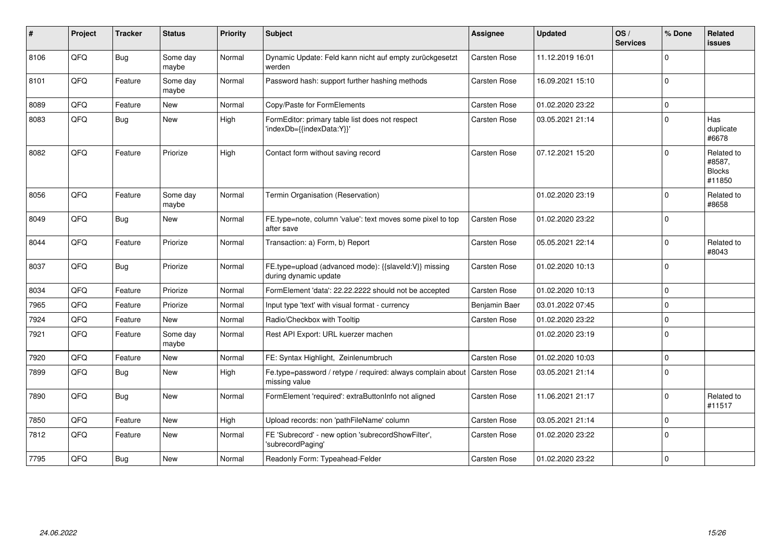| #    | Project | <b>Tracker</b> | <b>Status</b>     | Priority | <b>Subject</b>                                                                              | Assignee      | <b>Updated</b>   | OS/<br><b>Services</b> | % Done   | Related<br>issues                               |
|------|---------|----------------|-------------------|----------|---------------------------------------------------------------------------------------------|---------------|------------------|------------------------|----------|-------------------------------------------------|
| 8106 | QFQ     | <b>Bug</b>     | Some day<br>maybe | Normal   | Dynamic Update: Feld kann nicht auf empty zurückgesetzt<br>werden                           | Carsten Rose  | 11.12.2019 16:01 |                        | $\Omega$ |                                                 |
| 8101 | QFQ     | Feature        | Some day<br>maybe | Normal   | Password hash: support further hashing methods                                              | Carsten Rose  | 16.09.2021 15:10 |                        | $\Omega$ |                                                 |
| 8089 | QFQ     | Feature        | New               | Normal   | Copy/Paste for FormElements                                                                 | Carsten Rose  | 01.02.2020 23:22 |                        | $\Omega$ |                                                 |
| 8083 | QFQ     | Bug            | New               | High     | FormEditor: primary table list does not respect<br>'indexDb={{indexData:Y}}'                | Carsten Rose  | 03.05.2021 21:14 |                        | $\Omega$ | Has<br>duplicate<br>#6678                       |
| 8082 | QFQ     | Feature        | Priorize          | High     | Contact form without saving record                                                          | Carsten Rose  | 07.12.2021 15:20 |                        | $\Omega$ | Related to<br>#8587,<br><b>Blocks</b><br>#11850 |
| 8056 | QFQ     | Feature        | Some day<br>maybe | Normal   | Termin Organisation (Reservation)                                                           |               | 01.02.2020 23:19 |                        | $\Omega$ | Related to<br>#8658                             |
| 8049 | QFQ     | Bug            | New               | Normal   | FE.type=note, column 'value': text moves some pixel to top<br>after save                    | Carsten Rose  | 01.02.2020 23:22 |                        | $\Omega$ |                                                 |
| 8044 | QFQ     | Feature        | Priorize          | Normal   | Transaction: a) Form, b) Report                                                             | Carsten Rose  | 05.05.2021 22:14 |                        | $\Omega$ | Related to<br>#8043                             |
| 8037 | QFQ     | Bug            | Priorize          | Normal   | FE.type=upload (advanced mode): {{slaveld:V}} missing<br>during dynamic update              | Carsten Rose  | 01.02.2020 10:13 |                        | $\Omega$ |                                                 |
| 8034 | QFQ     | Feature        | Priorize          | Normal   | FormElement 'data': 22.22.2222 should not be accepted                                       | Carsten Rose  | 01.02.2020 10:13 |                        | $\Omega$ |                                                 |
| 7965 | QFQ     | Feature        | Priorize          | Normal   | Input type 'text' with visual format - currency                                             | Benjamin Baer | 03.01.2022 07:45 |                        | $\Omega$ |                                                 |
| 7924 | QFQ     | Feature        | New               | Normal   | Radio/Checkbox with Tooltip                                                                 | Carsten Rose  | 01.02.2020 23:22 |                        | $\Omega$ |                                                 |
| 7921 | QFQ     | Feature        | Some day<br>maybe | Normal   | Rest API Export: URL kuerzer machen                                                         |               | 01.02.2020 23:19 |                        | $\Omega$ |                                                 |
| 7920 | QFQ     | Feature        | New               | Normal   | FE: Syntax Highlight, Zeinlenumbruch                                                        | Carsten Rose  | 01.02.2020 10:03 |                        | $\Omega$ |                                                 |
| 7899 | QFQ     | Bug            | <b>New</b>        | High     | Fe.type=password / retype / required: always complain about   Carsten Rose<br>missing value |               | 03.05.2021 21:14 |                        | $\Omega$ |                                                 |
| 7890 | QFQ     | <b>Bug</b>     | New               | Normal   | FormElement 'required': extraButtonInfo not aligned                                         | Carsten Rose  | 11.06.2021 21:17 |                        | $\Omega$ | Related to<br>#11517                            |
| 7850 | QFQ     | Feature        | New               | High     | Upload records: non 'pathFileName' column                                                   | Carsten Rose  | 03.05.2021 21:14 |                        | $\Omega$ |                                                 |
| 7812 | QFQ     | Feature        | <b>New</b>        | Normal   | FE 'Subrecord' - new option 'subrecordShowFilter',<br>'subrecordPaging'                     | Carsten Rose  | 01.02.2020 23:22 |                        | $\Omega$ |                                                 |
| 7795 | QFQ     | Bug            | New               | Normal   | Readonly Form: Typeahead-Felder                                                             | Carsten Rose  | 01.02.2020 23:22 |                        | $\Omega$ |                                                 |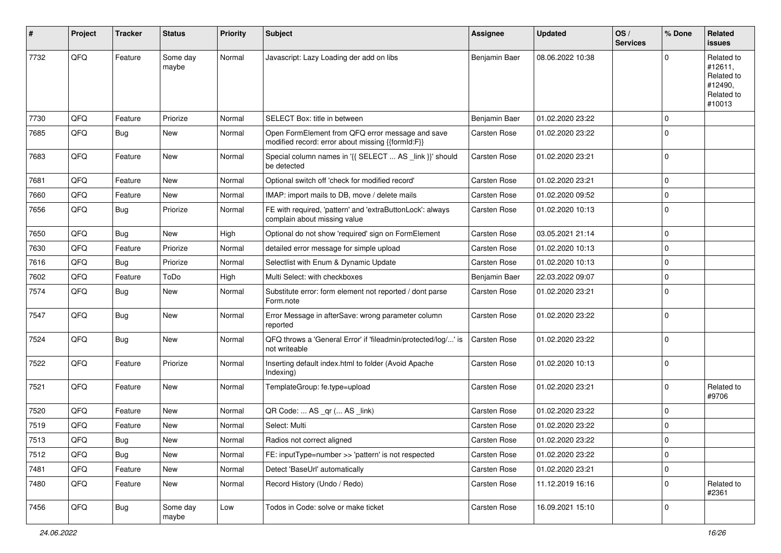| #    | Project | <b>Tracker</b> | <b>Status</b>     | <b>Priority</b> | Subject                                                                                               | Assignee            | <b>Updated</b>   | OS/<br><b>Services</b> | % Done      | Related<br>issues                                                      |
|------|---------|----------------|-------------------|-----------------|-------------------------------------------------------------------------------------------------------|---------------------|------------------|------------------------|-------------|------------------------------------------------------------------------|
| 7732 | QFQ     | Feature        | Some day<br>maybe | Normal          | Javascript: Lazy Loading der add on libs                                                              | Benjamin Baer       | 08.06.2022 10:38 |                        | $\Omega$    | Related to<br>#12611,<br>Related to<br>#12490,<br>Related to<br>#10013 |
| 7730 | QFQ     | Feature        | Priorize          | Normal          | SELECT Box: title in between                                                                          | Benjamin Baer       | 01.02.2020 23:22 |                        | $\mathbf 0$ |                                                                        |
| 7685 | QFQ     | Bug            | New               | Normal          | Open FormElement from QFQ error message and save<br>modified record: error about missing {{formId:F}} | <b>Carsten Rose</b> | 01.02.2020 23:22 |                        | $\Omega$    |                                                                        |
| 7683 | QFQ     | Feature        | <b>New</b>        | Normal          | Special column names in '{{ SELECT  AS _link }}' should<br>be detected                                | Carsten Rose        | 01.02.2020 23:21 |                        | $\mathbf 0$ |                                                                        |
| 7681 | QFQ     | Feature        | <b>New</b>        | Normal          | Optional switch off 'check for modified record'                                                       | <b>Carsten Rose</b> | 01.02.2020 23:21 |                        | $\mathbf 0$ |                                                                        |
| 7660 | QFQ     | Feature        | New               | Normal          | IMAP: import mails to DB, move / delete mails                                                         | Carsten Rose        | 01.02.2020 09:52 |                        | $\mathbf 0$ |                                                                        |
| 7656 | QFQ     | Bug            | Priorize          | Normal          | FE with required, 'pattern' and 'extraButtonLock': always<br>complain about missing value             | Carsten Rose        | 01.02.2020 10:13 |                        | $\Omega$    |                                                                        |
| 7650 | QFQ     | Bug            | <b>New</b>        | High            | Optional do not show 'required' sign on FormElement                                                   | Carsten Rose        | 03.05.2021 21:14 |                        | $\mathbf 0$ |                                                                        |
| 7630 | QFQ     | Feature        | Priorize          | Normal          | detailed error message for simple upload                                                              | Carsten Rose        | 01.02.2020 10:13 |                        | $\mathbf 0$ |                                                                        |
| 7616 | QFQ     | Bug            | Priorize          | Normal          | Selectlist with Enum & Dynamic Update                                                                 | Carsten Rose        | 01.02.2020 10:13 |                        | $\Omega$    |                                                                        |
| 7602 | QFQ     | Feature        | ToDo              | High            | Multi Select: with checkboxes                                                                         | Benjamin Baer       | 22.03.2022 09:07 |                        | $\Omega$    |                                                                        |
| 7574 | QFQ     | Bug            | New               | Normal          | Substitute error: form element not reported / dont parse<br>Form.note                                 | Carsten Rose        | 01.02.2020 23:21 |                        | $\mathbf 0$ |                                                                        |
| 7547 | QFQ     | Bug            | <b>New</b>        | Normal          | Error Message in afterSave: wrong parameter column<br>reported                                        | Carsten Rose        | 01.02.2020 23:22 |                        | $\Omega$    |                                                                        |
| 7524 | QFQ     | Bug            | New               | Normal          | QFQ throws a 'General Error' if 'fileadmin/protected/log/' is<br>not writeable                        | Carsten Rose        | 01.02.2020 23:22 |                        | $\Omega$    |                                                                        |
| 7522 | QFQ     | Feature        | Priorize          | Normal          | Inserting default index.html to folder (Avoid Apache<br>Indexing)                                     | Carsten Rose        | 01.02.2020 10:13 |                        | $\Omega$    |                                                                        |
| 7521 | QFQ     | Feature        | New               | Normal          | TemplateGroup: fe.type=upload                                                                         | Carsten Rose        | 01.02.2020 23:21 |                        | $\mathbf 0$ | Related to<br>#9706                                                    |
| 7520 | QFQ     | Feature        | <b>New</b>        | Normal          | QR Code:  AS _qr ( AS _link)                                                                          | Carsten Rose        | 01.02.2020 23:22 |                        | $\Omega$    |                                                                        |
| 7519 | QFQ     | Feature        | <b>New</b>        | Normal          | Select: Multi                                                                                         | <b>Carsten Rose</b> | 01.02.2020 23:22 |                        | $\mathbf 0$ |                                                                        |
| 7513 | QFQ     | Bug            | New               | Normal          | Radios not correct aligned                                                                            | Carsten Rose        | 01.02.2020 23:22 |                        | $\Omega$    |                                                                        |
| 7512 | QFQ     | Bug            | New               | Normal          | FE: inputType=number >> 'pattern' is not respected                                                    | Carsten Rose        | 01.02.2020 23:22 |                        | $\mathbf 0$ |                                                                        |
| 7481 | QFQ     | Feature        | New               | Normal          | Detect 'BaseUrl' automatically                                                                        | Carsten Rose        | 01.02.2020 23:21 |                        | $\mathbf 0$ |                                                                        |
| 7480 | QFQ     | Feature        | New               | Normal          | Record History (Undo / Redo)                                                                          | Carsten Rose        | 11.12.2019 16:16 |                        | $\Omega$    | Related to<br>#2361                                                    |
| 7456 | QFQ     | <b>Bug</b>     | Some day<br>maybe | Low             | Todos in Code: solve or make ticket                                                                   | Carsten Rose        | 16.09.2021 15:10 |                        | $\mathbf 0$ |                                                                        |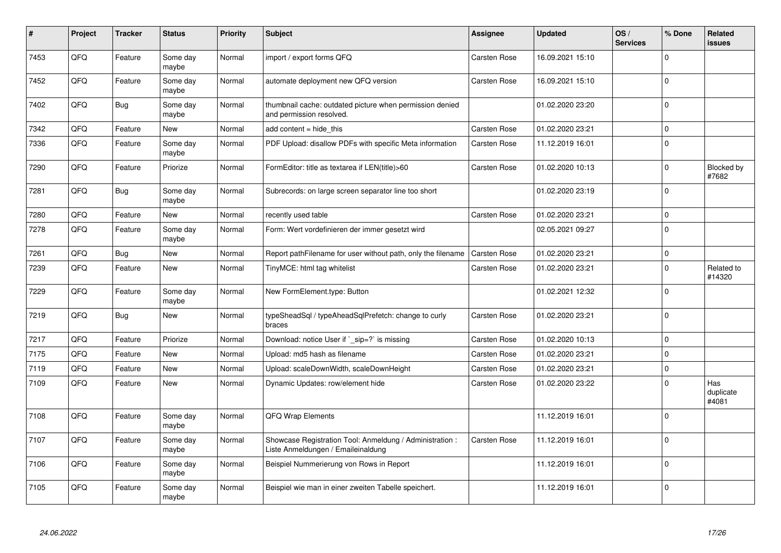| #    | Project | <b>Tracker</b> | <b>Status</b>     | <b>Priority</b> | <b>Subject</b>                                                                                 | <b>Assignee</b>     | <b>Updated</b>   | OS/<br><b>Services</b> | % Done      | Related<br><b>issues</b>  |
|------|---------|----------------|-------------------|-----------------|------------------------------------------------------------------------------------------------|---------------------|------------------|------------------------|-------------|---------------------------|
| 7453 | QFQ     | Feature        | Some day<br>maybe | Normal          | import / export forms QFQ                                                                      | <b>Carsten Rose</b> | 16.09.2021 15:10 |                        | $\Omega$    |                           |
| 7452 | QFQ     | Feature        | Some day<br>maybe | Normal          | automate deployment new QFQ version                                                            | <b>Carsten Rose</b> | 16.09.2021 15:10 |                        | $\Omega$    |                           |
| 7402 | QFQ     | <b>Bug</b>     | Some day<br>maybe | Normal          | thumbnail cache: outdated picture when permission denied<br>and permission resolved.           |                     | 01.02.2020 23:20 |                        | $\mathbf 0$ |                           |
| 7342 | QFQ     | Feature        | New               | Normal          | add content = hide this                                                                        | Carsten Rose        | 01.02.2020 23:21 |                        | $\mathbf 0$ |                           |
| 7336 | QFQ     | Feature        | Some day<br>maybe | Normal          | PDF Upload: disallow PDFs with specific Meta information                                       | Carsten Rose        | 11.12.2019 16:01 |                        | $\Omega$    |                           |
| 7290 | QFQ     | Feature        | Priorize          | Normal          | FormEditor: title as textarea if LEN(title)>60                                                 | Carsten Rose        | 01.02.2020 10:13 |                        | $\Omega$    | Blocked by<br>#7682       |
| 7281 | QFQ     | Bug            | Some day<br>maybe | Normal          | Subrecords: on large screen separator line too short                                           |                     | 01.02.2020 23:19 |                        | $\mathbf 0$ |                           |
| 7280 | QFQ     | Feature        | <b>New</b>        | Normal          | recently used table                                                                            | <b>Carsten Rose</b> | 01.02.2020 23:21 |                        | $\mathbf 0$ |                           |
| 7278 | QFQ     | Feature        | Some day<br>maybe | Normal          | Form: Wert vordefinieren der immer gesetzt wird                                                |                     | 02.05.2021 09:27 |                        | $\mathbf 0$ |                           |
| 7261 | QFQ     | Bug            | <b>New</b>        | Normal          | Report pathFilename for user without path, only the filename                                   | <b>Carsten Rose</b> | 01.02.2020 23:21 |                        | $\mathbf 0$ |                           |
| 7239 | QFQ     | Feature        | <b>New</b>        | Normal          | TinyMCE: html tag whitelist                                                                    | Carsten Rose        | 01.02.2020 23:21 |                        | $\mathbf 0$ | Related to<br>#14320      |
| 7229 | QFQ     | Feature        | Some day<br>maybe | Normal          | New FormElement.type: Button                                                                   |                     | 01.02.2021 12:32 |                        | $\mathbf 0$ |                           |
| 7219 | QFQ     | Bug            | <b>New</b>        | Normal          | typeSheadSql / typeAheadSqlPrefetch: change to curly<br>braces                                 | Carsten Rose        | 01.02.2020 23:21 |                        | $\mathbf 0$ |                           |
| 7217 | QFQ     | Feature        | Priorize          | Normal          | Download: notice User if `_sip=?` is missing                                                   | Carsten Rose        | 01.02.2020 10:13 |                        | $\Omega$    |                           |
| 7175 | QFQ     | Feature        | <b>New</b>        | Normal          | Upload: md5 hash as filename                                                                   | Carsten Rose        | 01.02.2020 23:21 |                        | $\mathbf 0$ |                           |
| 7119 | QFQ     | Feature        | <b>New</b>        | Normal          | Upload: scaleDownWidth, scaleDownHeight                                                        | <b>Carsten Rose</b> | 01.02.2020 23:21 |                        | $\Omega$    |                           |
| 7109 | QFQ     | Feature        | <b>New</b>        | Normal          | Dynamic Updates: row/element hide                                                              | <b>Carsten Rose</b> | 01.02.2020 23:22 |                        | $\mathbf 0$ | Has<br>duplicate<br>#4081 |
| 7108 | QFQ     | Feature        | Some day<br>maybe | Normal          | QFQ Wrap Elements                                                                              |                     | 11.12.2019 16:01 |                        | $\Omega$    |                           |
| 7107 | QFQ     | Feature        | Some day<br>maybe | Normal          | Showcase Registration Tool: Anmeldung / Administration :<br>Liste Anmeldungen / Emaileinaldung | Carsten Rose        | 11.12.2019 16:01 |                        | $\mathbf 0$ |                           |
| 7106 | QFQ     | Feature        | Some day<br>maybe | Normal          | Beispiel Nummerierung von Rows in Report                                                       |                     | 11.12.2019 16:01 |                        | $\mathbf 0$ |                           |
| 7105 | QFQ     | Feature        | Some day<br>maybe | Normal          | Beispiel wie man in einer zweiten Tabelle speichert.                                           |                     | 11.12.2019 16:01 |                        | $\mathbf 0$ |                           |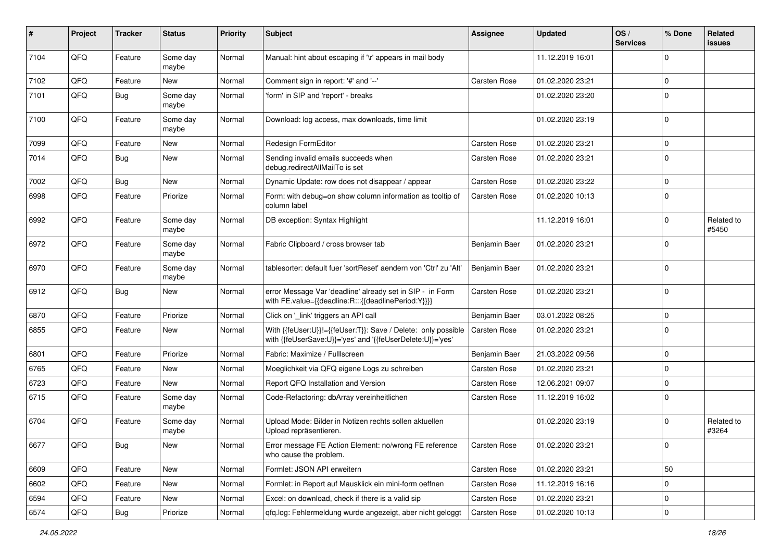| #    | Project | <b>Tracker</b> | <b>Status</b>     | <b>Priority</b> | Subject                                                                                                                    | Assignee            | <b>Updated</b>   | OS/<br><b>Services</b> | % Done      | Related<br><b>issues</b> |
|------|---------|----------------|-------------------|-----------------|----------------------------------------------------------------------------------------------------------------------------|---------------------|------------------|------------------------|-------------|--------------------------|
| 7104 | QFQ     | Feature        | Some day<br>maybe | Normal          | Manual: hint about escaping if '\r' appears in mail body                                                                   |                     | 11.12.2019 16:01 |                        | $\mathbf 0$ |                          |
| 7102 | QFQ     | Feature        | New               | Normal          | Comment sign in report: '#' and '--'                                                                                       | <b>Carsten Rose</b> | 01.02.2020 23:21 |                        | $\mathbf 0$ |                          |
| 7101 | QFQ     | Bug            | Some day<br>maybe | Normal          | 'form' in SIP and 'report' - breaks                                                                                        |                     | 01.02.2020 23:20 |                        | $\mathbf 0$ |                          |
| 7100 | QFQ     | Feature        | Some day<br>maybe | Normal          | Download: log access, max downloads, time limit                                                                            |                     | 01.02.2020 23:19 |                        | $\mathbf 0$ |                          |
| 7099 | QFQ     | Feature        | <b>New</b>        | Normal          | Redesign FormEditor                                                                                                        | Carsten Rose        | 01.02.2020 23:21 |                        | $\mathbf 0$ |                          |
| 7014 | QFQ     | Bug            | <b>New</b>        | Normal          | Sending invalid emails succeeds when<br>debug.redirectAllMailTo is set                                                     | <b>Carsten Rose</b> | 01.02.2020 23:21 |                        | $\mathbf 0$ |                          |
| 7002 | QFQ     | Bug            | <b>New</b>        | Normal          | Dynamic Update: row does not disappear / appear                                                                            | <b>Carsten Rose</b> | 01.02.2020 23:22 |                        | $\mathbf 0$ |                          |
| 6998 | QFQ     | Feature        | Priorize          | Normal          | Form: with debug=on show column information as tooltip of<br>column label                                                  | Carsten Rose        | 01.02.2020 10:13 |                        | $\mathbf 0$ |                          |
| 6992 | QFQ     | Feature        | Some day<br>maybe | Normal          | DB exception: Syntax Highlight                                                                                             |                     | 11.12.2019 16:01 |                        | $\mathbf 0$ | Related to<br>#5450      |
| 6972 | QFQ     | Feature        | Some day<br>maybe | Normal          | Fabric Clipboard / cross browser tab                                                                                       | Benjamin Baer       | 01.02.2020 23:21 |                        | $\mathbf 0$ |                          |
| 6970 | QFQ     | Feature        | Some day<br>maybe | Normal          | tablesorter: default fuer 'sortReset' aendern von 'Ctrl' zu 'Alt'                                                          | Benjamin Baer       | 01.02.2020 23:21 |                        | $\mathbf 0$ |                          |
| 6912 | QFQ     | <b>Bug</b>     | New               | Normal          | error Message Var 'deadline' already set in SIP - in Form<br>with FE.value={{deadline:R:::{{deadlinePeriod:Y}}}}           | Carsten Rose        | 01.02.2020 23:21 |                        | $\mathbf 0$ |                          |
| 6870 | QFQ     | Feature        | Priorize          | Normal          | Click on '_link' triggers an API call                                                                                      | Benjamin Baer       | 03.01.2022 08:25 |                        | $\mathbf 0$ |                          |
| 6855 | QFQ     | Feature        | New               | Normal          | With {{feUser:U}}!={{feUser:T}}: Save / Delete: only possible<br>with {{feUserSave:U}}='yes' and '{{feUserDelete:U}}='yes' | Carsten Rose        | 01.02.2020 23:21 |                        | $\mathbf 0$ |                          |
| 6801 | QFQ     | Feature        | Priorize          | Normal          | Fabric: Maximize / FullIscreen                                                                                             | Benjamin Baer       | 21.03.2022 09:56 |                        | $\mathbf 0$ |                          |
| 6765 | QFQ     | Feature        | New               | Normal          | Moeglichkeit via QFQ eigene Logs zu schreiben                                                                              | Carsten Rose        | 01.02.2020 23:21 |                        | $\mathbf 0$ |                          |
| 6723 | QFQ     | Feature        | New               | Normal          | Report QFQ Installation and Version                                                                                        | <b>Carsten Rose</b> | 12.06.2021 09:07 |                        | $\mathbf 0$ |                          |
| 6715 | QFQ     | Feature        | Some day<br>maybe | Normal          | Code-Refactoring: dbArray vereinheitlichen                                                                                 | Carsten Rose        | 11.12.2019 16:02 |                        | $\mathbf 0$ |                          |
| 6704 | QFQ     | Feature        | Some day<br>maybe | Normal          | Upload Mode: Bilder in Notizen rechts sollen aktuellen<br>Upload repräsentieren.                                           |                     | 01.02.2020 23:19 |                        | $\mathbf 0$ | Related to<br>#3264      |
| 6677 | QFQ     | <b>Bug</b>     | New               | Normal          | Error message FE Action Element: no/wrong FE reference<br>who cause the problem.                                           | <b>Carsten Rose</b> | 01.02.2020 23:21 |                        | 0           |                          |
| 6609 | QFQ     | Feature        | <b>New</b>        | Normal          | Formlet: JSON API erweitern                                                                                                | Carsten Rose        | 01.02.2020 23:21 |                        | 50          |                          |
| 6602 | QFQ     | Feature        | New               | Normal          | Formlet: in Report auf Mausklick ein mini-form oeffnen                                                                     | Carsten Rose        | 11.12.2019 16:16 |                        | $\mathbf 0$ |                          |
| 6594 | QFQ     | Feature        | New               | Normal          | Excel: on download, check if there is a valid sip                                                                          | Carsten Rose        | 01.02.2020 23:21 |                        | $\mathbf 0$ |                          |
| 6574 | QFG     | Bug            | Priorize          | Normal          | qfq.log: Fehlermeldung wurde angezeigt, aber nicht geloggt                                                                 | Carsten Rose        | 01.02.2020 10:13 |                        | $\mathbf 0$ |                          |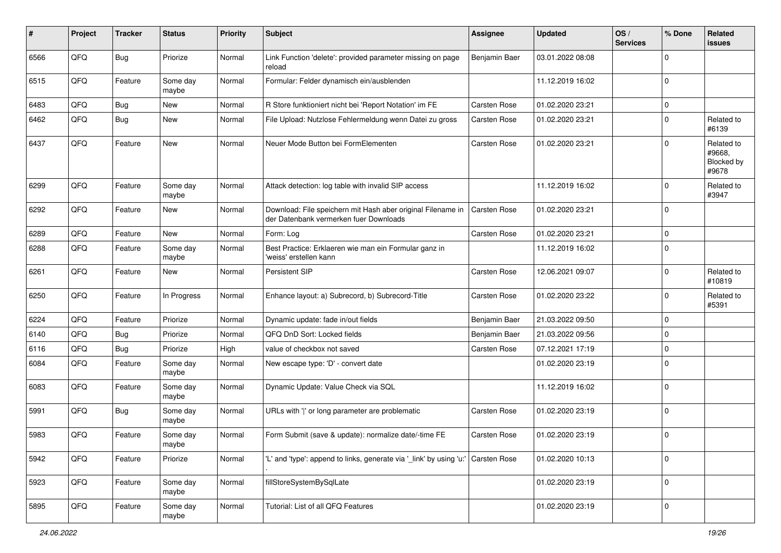| #    | Project | <b>Tracker</b> | <b>Status</b>     | <b>Priority</b> | <b>Subject</b>                                                                                        | Assignee            | <b>Updated</b>   | OS/<br><b>Services</b> | % Done      | Related<br>issues                           |
|------|---------|----------------|-------------------|-----------------|-------------------------------------------------------------------------------------------------------|---------------------|------------------|------------------------|-------------|---------------------------------------------|
| 6566 | QFQ     | <b>Bug</b>     | Priorize          | Normal          | Link Function 'delete': provided parameter missing on page<br>reload                                  | Benjamin Baer       | 03.01.2022 08:08 |                        | $\mathbf 0$ |                                             |
| 6515 | QFQ     | Feature        | Some day<br>maybe | Normal          | Formular: Felder dynamisch ein/ausblenden                                                             |                     | 11.12.2019 16:02 |                        | $\mathbf 0$ |                                             |
| 6483 | QFQ     | <b>Bug</b>     | New               | Normal          | R Store funktioniert nicht bei 'Report Notation' im FE                                                | Carsten Rose        | 01.02.2020 23:21 |                        | $\mathbf 0$ |                                             |
| 6462 | QFQ     | Bug            | New               | Normal          | File Upload: Nutzlose Fehlermeldung wenn Datei zu gross                                               | Carsten Rose        | 01.02.2020 23:21 |                        | $\mathbf 0$ | Related to<br>#6139                         |
| 6437 | QFQ     | Feature        | <b>New</b>        | Normal          | Neuer Mode Button bei FormElementen                                                                   | Carsten Rose        | 01.02.2020 23:21 |                        | $\mathbf 0$ | Related to<br>#9668,<br>Blocked by<br>#9678 |
| 6299 | QFQ     | Feature        | Some day<br>maybe | Normal          | Attack detection: log table with invalid SIP access                                                   |                     | 11.12.2019 16:02 |                        | $\mathbf 0$ | Related to<br>#3947                         |
| 6292 | QFQ     | Feature        | New               | Normal          | Download: File speichern mit Hash aber original Filename in<br>der Datenbank vermerken fuer Downloads | <b>Carsten Rose</b> | 01.02.2020 23:21 |                        | $\mathbf 0$ |                                             |
| 6289 | QFQ     | Feature        | <b>New</b>        | Normal          | Form: Log                                                                                             | <b>Carsten Rose</b> | 01.02.2020 23:21 |                        | $\mathbf 0$ |                                             |
| 6288 | QFQ     | Feature        | Some day<br>maybe | Normal          | Best Practice: Erklaeren wie man ein Formular ganz in<br>'weiss' erstellen kann                       |                     | 11.12.2019 16:02 |                        | $\mathbf 0$ |                                             |
| 6261 | QFQ     | Feature        | New               | Normal          | Persistent SIP                                                                                        | Carsten Rose        | 12.06.2021 09:07 |                        | $\mathbf 0$ | Related to<br>#10819                        |
| 6250 | QFQ     | Feature        | In Progress       | Normal          | Enhance layout: a) Subrecord, b) Subrecord-Title                                                      | <b>Carsten Rose</b> | 01.02.2020 23:22 |                        | $\mathbf 0$ | Related to<br>#5391                         |
| 6224 | QFQ     | Feature        | Priorize          | Normal          | Dynamic update: fade in/out fields                                                                    | Benjamin Baer       | 21.03.2022 09:50 |                        | $\mathbf 0$ |                                             |
| 6140 | QFQ     | <b>Bug</b>     | Priorize          | Normal          | QFQ DnD Sort: Locked fields                                                                           | Benjamin Baer       | 21.03.2022 09:56 |                        | $\mathbf 0$ |                                             |
| 6116 | QFQ     | Bug            | Priorize          | High            | value of checkbox not saved                                                                           | Carsten Rose        | 07.12.2021 17:19 |                        | $\mathbf 0$ |                                             |
| 6084 | QFQ     | Feature        | Some day<br>maybe | Normal          | New escape type: 'D' - convert date                                                                   |                     | 01.02.2020 23:19 |                        | $\Omega$    |                                             |
| 6083 | QFQ     | Feature        | Some day<br>maybe | Normal          | Dynamic Update: Value Check via SQL                                                                   |                     | 11.12.2019 16:02 |                        | $\mathbf 0$ |                                             |
| 5991 | QFQ     | Bug            | Some day<br>maybe | Normal          | URLs with ' ' or long parameter are problematic                                                       | Carsten Rose        | 01.02.2020 23:19 |                        | $\mathbf 0$ |                                             |
| 5983 | QFQ     | Feature        | Some day<br>maybe | Normal          | Form Submit (save & update): normalize date/-time FE                                                  | Carsten Rose        | 01.02.2020 23:19 |                        | $\mathbf 0$ |                                             |
| 5942 | QFQ     | Feature        | Priorize          | Normal          | "L' and 'type': append to links, generate via '_link' by using 'u:' Carsten Rose                      |                     | 01.02.2020 10:13 |                        | $\mathbf 0$ |                                             |
| 5923 | QFO     | Feature        | Some day<br>maybe | Normal          | fillStoreSystemBySqlLate                                                                              |                     | 01.02.2020 23:19 |                        | $\pmb{0}$   |                                             |
| 5895 | QFO     | Feature        | Some day<br>maybe | Normal          | Tutorial: List of all QFQ Features                                                                    |                     | 01.02.2020 23:19 |                        | $\pmb{0}$   |                                             |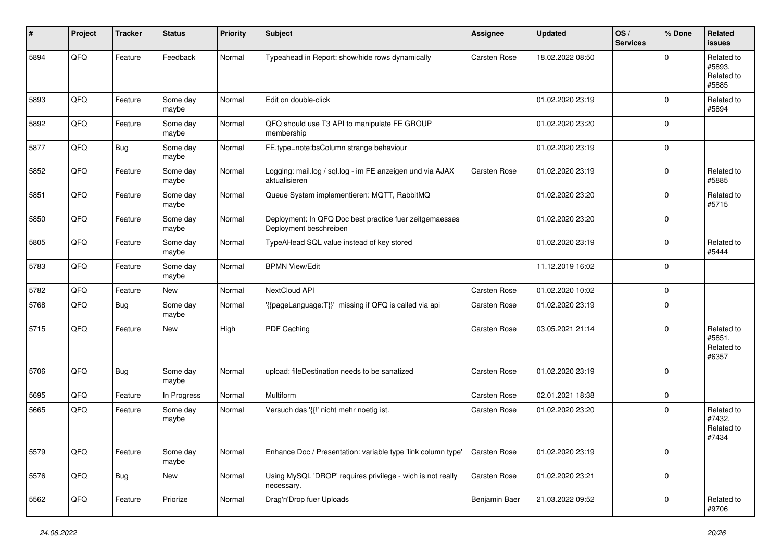| ∦    | Project | <b>Tracker</b> | <b>Status</b>     | Priority | <b>Subject</b>                                                                    | Assignee            | <b>Updated</b>   | OS/<br><b>Services</b> | % Done      | Related<br><b>issues</b>                    |
|------|---------|----------------|-------------------|----------|-----------------------------------------------------------------------------------|---------------------|------------------|------------------------|-------------|---------------------------------------------|
| 5894 | QFQ     | Feature        | Feedback          | Normal   | Typeahead in Report: show/hide rows dynamically                                   | Carsten Rose        | 18.02.2022 08:50 |                        | $\Omega$    | Related to<br>#5893.<br>Related to<br>#5885 |
| 5893 | QFQ     | Feature        | Some day<br>maybe | Normal   | Edit on double-click                                                              |                     | 01.02.2020 23:19 |                        | $\mathbf 0$ | Related to<br>#5894                         |
| 5892 | QFQ     | Feature        | Some day<br>maybe | Normal   | QFQ should use T3 API to manipulate FE GROUP<br>membership                        |                     | 01.02.2020 23:20 |                        | $\mathbf 0$ |                                             |
| 5877 | QFQ     | Bug            | Some day<br>maybe | Normal   | FE.type=note:bsColumn strange behaviour                                           |                     | 01.02.2020 23:19 |                        | $\mathbf 0$ |                                             |
| 5852 | QFQ     | Feature        | Some day<br>maybe | Normal   | Logging: mail.log / sql.log - im FE anzeigen und via AJAX<br>aktualisieren        | <b>Carsten Rose</b> | 01.02.2020 23:19 |                        | $\mathbf 0$ | Related to<br>#5885                         |
| 5851 | QFQ     | Feature        | Some day<br>maybe | Normal   | Queue System implementieren: MQTT, RabbitMQ                                       |                     | 01.02.2020 23:20 |                        | $\mathbf 0$ | Related to<br>#5715                         |
| 5850 | QFQ     | Feature        | Some day<br>maybe | Normal   | Deployment: In QFQ Doc best practice fuer zeitgemaesses<br>Deployment beschreiben |                     | 01.02.2020 23:20 |                        | $\mathbf 0$ |                                             |
| 5805 | QFQ     | Feature        | Some day<br>maybe | Normal   | TypeAHead SQL value instead of key stored                                         |                     | 01.02.2020 23:19 |                        | $\mathbf 0$ | Related to<br>#5444                         |
| 5783 | QFQ     | Feature        | Some day<br>maybe | Normal   | <b>BPMN View/Edit</b>                                                             |                     | 11.12.2019 16:02 |                        | $\mathbf 0$ |                                             |
| 5782 | QFQ     | Feature        | New               | Normal   | NextCloud API                                                                     | <b>Carsten Rose</b> | 01.02.2020 10:02 |                        | $\mathbf 0$ |                                             |
| 5768 | QFQ     | Bug            | Some day<br>maybe | Normal   | '{{pageLanguage:T}}' missing if QFQ is called via api                             | Carsten Rose        | 01.02.2020 23:19 |                        | $\mathbf 0$ |                                             |
| 5715 | QFQ     | Feature        | New               | High     | PDF Caching                                                                       | Carsten Rose        | 03.05.2021 21:14 |                        | $\Omega$    | Related to<br>#5851,<br>Related to<br>#6357 |
| 5706 | QFQ     | Bug            | Some day<br>maybe | Normal   | upload: fileDestination needs to be sanatized                                     | <b>Carsten Rose</b> | 01.02.2020 23:19 |                        | $\mathbf 0$ |                                             |
| 5695 | QFQ     | Feature        | In Progress       | Normal   | Multiform                                                                         | <b>Carsten Rose</b> | 02.01.2021 18:38 |                        | $\mathbf 0$ |                                             |
| 5665 | QFQ     | Feature        | Some day<br>maybe | Normal   | Versuch das '{{!' nicht mehr noetig ist.                                          | Carsten Rose        | 01.02.2020 23:20 |                        | $\mathbf 0$ | Related to<br>#7432,<br>Related to<br>#7434 |
| 5579 | QFG     | Feature        | Some day<br>maybe | Normal   | Enhance Doc / Presentation: variable type 'link column type'                      | Carsten Rose        | 01.02.2020 23:19 |                        | $\mathbf 0$ |                                             |
| 5576 | QFO     | <b>Bug</b>     | New               | Normal   | Using MySQL 'DROP' requires privilege - wich is not really<br>necessary.          | Carsten Rose        | 01.02.2020 23:21 |                        | $\pmb{0}$   |                                             |
| 5562 | QFQ     | Feature        | Priorize          | Normal   | Drag'n'Drop fuer Uploads                                                          | Benjamin Baer       | 21.03.2022 09:52 |                        | $\mathbf 0$ | Related to<br>#9706                         |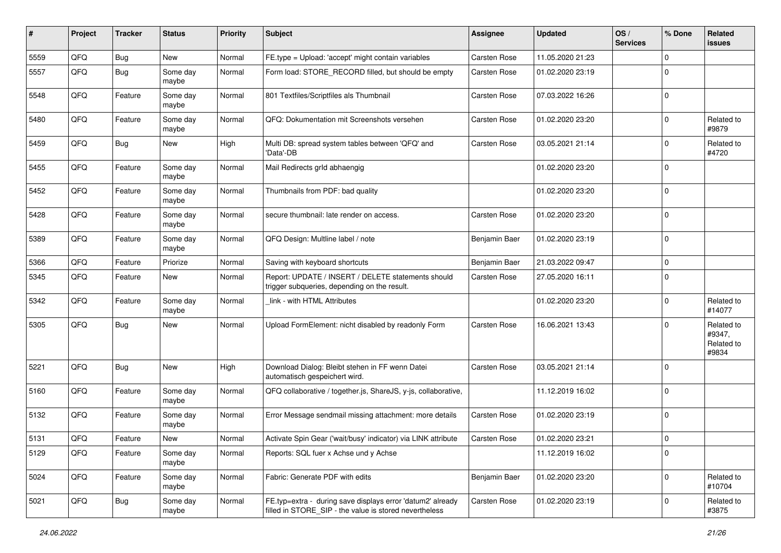| #    | Project | <b>Tracker</b> | <b>Status</b>     | <b>Priority</b> | <b>Subject</b>                                                                                                       | Assignee            | <b>Updated</b>   | OS/<br><b>Services</b> | % Done      | Related<br>issues                           |
|------|---------|----------------|-------------------|-----------------|----------------------------------------------------------------------------------------------------------------------|---------------------|------------------|------------------------|-------------|---------------------------------------------|
| 5559 | QFQ     | Bug            | New               | Normal          | FE.type = Upload: 'accept' might contain variables                                                                   | <b>Carsten Rose</b> | 11.05.2020 21:23 |                        | $\Omega$    |                                             |
| 5557 | QFQ     | Bug            | Some day<br>maybe | Normal          | Form load: STORE_RECORD filled, but should be empty                                                                  | <b>Carsten Rose</b> | 01.02.2020 23:19 |                        | $\Omega$    |                                             |
| 5548 | QFQ     | Feature        | Some day<br>maybe | Normal          | 801 Textfiles/Scriptfiles als Thumbnail                                                                              | <b>Carsten Rose</b> | 07.03.2022 16:26 |                        | $\mathbf 0$ |                                             |
| 5480 | QFQ     | Feature        | Some day<br>maybe | Normal          | QFQ: Dokumentation mit Screenshots versehen                                                                          | <b>Carsten Rose</b> | 01.02.2020 23:20 |                        | $\mathbf 0$ | Related to<br>#9879                         |
| 5459 | QFQ     | <b>Bug</b>     | New               | High            | Multi DB: spread system tables between 'QFQ' and<br>'Data'-DB                                                        | Carsten Rose        | 03.05.2021 21:14 |                        | $\Omega$    | Related to<br>#4720                         |
| 5455 | QFQ     | Feature        | Some day<br>maybe | Normal          | Mail Redirects grld abhaengig                                                                                        |                     | 01.02.2020 23:20 |                        | $\mathbf 0$ |                                             |
| 5452 | QFQ     | Feature        | Some day<br>maybe | Normal          | Thumbnails from PDF: bad quality                                                                                     |                     | 01.02.2020 23:20 |                        | $\mathbf 0$ |                                             |
| 5428 | QFQ     | Feature        | Some day<br>maybe | Normal          | secure thumbnail: late render on access.                                                                             | <b>Carsten Rose</b> | 01.02.2020 23:20 |                        | $\mathbf 0$ |                                             |
| 5389 | QFQ     | Feature        | Some day<br>maybe | Normal          | QFQ Design: Multline label / note                                                                                    | Benjamin Baer       | 01.02.2020 23:19 |                        | $\mathbf 0$ |                                             |
| 5366 | QFQ     | Feature        | Priorize          | Normal          | Saving with keyboard shortcuts                                                                                       | Benjamin Baer       | 21.03.2022 09:47 |                        | $\mathbf 0$ |                                             |
| 5345 | QFQ     | Feature        | New               | Normal          | Report: UPDATE / INSERT / DELETE statements should<br>trigger subqueries, depending on the result.                   | Carsten Rose        | 27.05.2020 16:11 |                        | $\Omega$    |                                             |
| 5342 | QFQ     | Feature        | Some day<br>maybe | Normal          | link - with HTML Attributes                                                                                          |                     | 01.02.2020 23:20 |                        | $\Omega$    | Related to<br>#14077                        |
| 5305 | QFQ     | Bug            | <b>New</b>        | Normal          | Upload FormElement: nicht disabled by readonly Form                                                                  | <b>Carsten Rose</b> | 16.06.2021 13:43 |                        | $\Omega$    | Related to<br>#9347,<br>Related to<br>#9834 |
| 5221 | QFQ     | Bug            | New               | High            | Download Dialog: Bleibt stehen in FF wenn Datei<br>automatisch gespeichert wird.                                     | <b>Carsten Rose</b> | 03.05.2021 21:14 |                        | $\Omega$    |                                             |
| 5160 | QFQ     | Feature        | Some day<br>maybe | Normal          | QFQ collaborative / together.js, ShareJS, y-js, collaborative,                                                       |                     | 11.12.2019 16:02 |                        | $\mathbf 0$ |                                             |
| 5132 | QFQ     | Feature        | Some day<br>maybe | Normal          | Error Message sendmail missing attachment: more details                                                              | <b>Carsten Rose</b> | 01.02.2020 23:19 |                        | $\mathbf 0$ |                                             |
| 5131 | QFQ     | Feature        | <b>New</b>        | Normal          | Activate Spin Gear ('wait/busy' indicator) via LINK attribute                                                        | Carsten Rose        | 01.02.2020 23:21 |                        | $\Omega$    |                                             |
| 5129 | QFQ     | Feature        | Some day<br>maybe | Normal          | Reports: SQL fuer x Achse und y Achse                                                                                |                     | 11.12.2019 16:02 |                        | $\mathbf 0$ |                                             |
| 5024 | QFQ     | Feature        | Some day<br>maybe | Normal          | Fabric: Generate PDF with edits                                                                                      | Benjamin Baer       | 01.02.2020 23:20 |                        | $\mathbf 0$ | Related to<br>#10704                        |
| 5021 | QFQ     | <b>Bug</b>     | Some day<br>maybe | Normal          | FE.typ=extra - during save displays error 'datum2' already<br>filled in STORE_SIP - the value is stored nevertheless | Carsten Rose        | 01.02.2020 23:19 |                        | 0           | Related to<br>#3875                         |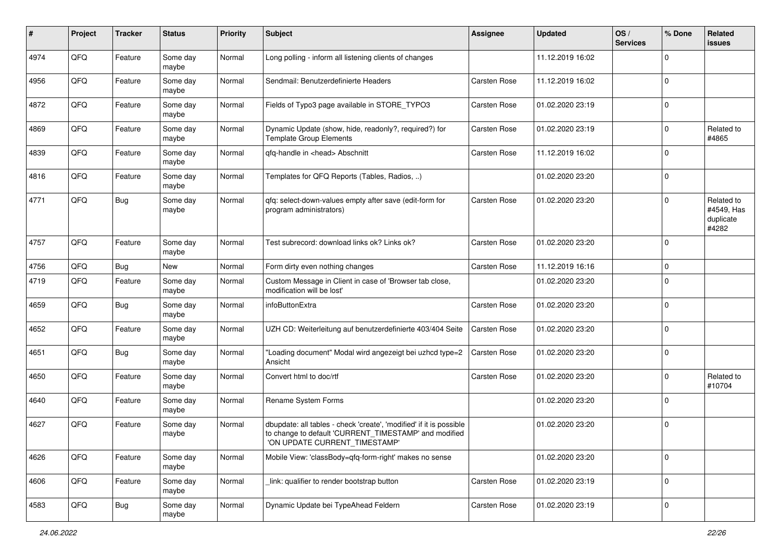| #    | Project | <b>Tracker</b> | <b>Status</b>     | <b>Priority</b> | <b>Subject</b>                                                                                                                                                | <b>Assignee</b>     | <b>Updated</b>   | OS/<br><b>Services</b> | % Done      | Related<br>issues                              |
|------|---------|----------------|-------------------|-----------------|---------------------------------------------------------------------------------------------------------------------------------------------------------------|---------------------|------------------|------------------------|-------------|------------------------------------------------|
| 4974 | QFQ     | Feature        | Some day<br>maybe | Normal          | Long polling - inform all listening clients of changes                                                                                                        |                     | 11.12.2019 16:02 |                        | $\Omega$    |                                                |
| 4956 | QFQ     | Feature        | Some day<br>maybe | Normal          | Sendmail: Benutzerdefinierte Headers                                                                                                                          | Carsten Rose        | 11.12.2019 16:02 |                        | $\mathbf 0$ |                                                |
| 4872 | QFQ     | Feature        | Some day<br>maybe | Normal          | Fields of Typo3 page available in STORE_TYPO3                                                                                                                 | Carsten Rose        | 01.02.2020 23:19 |                        | $\Omega$    |                                                |
| 4869 | QFQ     | Feature        | Some day<br>maybe | Normal          | Dynamic Update (show, hide, readonly?, required?) for<br><b>Template Group Elements</b>                                                                       | Carsten Rose        | 01.02.2020 23:19 |                        | $\mathbf 0$ | Related to<br>#4865                            |
| 4839 | QFQ     | Feature        | Some day<br>maybe | Normal          | qfq-handle in <head> Abschnitt</head>                                                                                                                         | Carsten Rose        | 11.12.2019 16:02 |                        | $\mathbf 0$ |                                                |
| 4816 | QFQ     | Feature        | Some day<br>maybe | Normal          | Templates for QFQ Reports (Tables, Radios, )                                                                                                                  |                     | 01.02.2020 23:20 |                        | $\Omega$    |                                                |
| 4771 | QFQ     | <b>Bug</b>     | Some day<br>maybe | Normal          | qfq: select-down-values empty after save (edit-form for<br>program administrators)                                                                            | <b>Carsten Rose</b> | 01.02.2020 23:20 |                        | $\Omega$    | Related to<br>#4549, Has<br>duplicate<br>#4282 |
| 4757 | QFQ     | Feature        | Some day<br>maybe | Normal          | Test subrecord: download links ok? Links ok?                                                                                                                  | Carsten Rose        | 01.02.2020 23:20 |                        | $\Omega$    |                                                |
| 4756 | QFQ     | Bug            | New               | Normal          | Form dirty even nothing changes                                                                                                                               | <b>Carsten Rose</b> | 11.12.2019 16:16 |                        | $\Omega$    |                                                |
| 4719 | QFQ     | Feature        | Some day<br>maybe | Normal          | Custom Message in Client in case of 'Browser tab close,<br>modification will be lost'                                                                         |                     | 01.02.2020 23:20 |                        | $\mathbf 0$ |                                                |
| 4659 | QFQ     | Bug            | Some day<br>maybe | Normal          | infoButtonExtra                                                                                                                                               | Carsten Rose        | 01.02.2020 23:20 |                        | $\Omega$    |                                                |
| 4652 | QFQ     | Feature        | Some day<br>maybe | Normal          | UZH CD: Weiterleitung auf benutzerdefinierte 403/404 Seite                                                                                                    | Carsten Rose        | 01.02.2020 23:20 |                        | $\Omega$    |                                                |
| 4651 | QFQ     | <b>Bug</b>     | Some day<br>maybe | Normal          | "Loading document" Modal wird angezeigt bei uzhcd type=2<br>Ansicht                                                                                           | Carsten Rose        | 01.02.2020 23:20 |                        | $\Omega$    |                                                |
| 4650 | QFQ     | Feature        | Some day<br>maybe | Normal          | Convert html to doc/rtf                                                                                                                                       | Carsten Rose        | 01.02.2020 23:20 |                        | $\Omega$    | Related to<br>#10704                           |
| 4640 | QFQ     | Feature        | Some day<br>maybe | Normal          | <b>Rename System Forms</b>                                                                                                                                    |                     | 01.02.2020 23:20 |                        | $\Omega$    |                                                |
| 4627 | QFQ     | Feature        | Some day<br>maybe | Normal          | dbupdate: all tables - check 'create', 'modified' if it is possible<br>to change to default 'CURRENT_TIMESTAMP' and modified<br>'ON UPDATE CURRENT_TIMESTAMP' |                     | 01.02.2020 23:20 |                        | $\mathbf 0$ |                                                |
| 4626 | QFQ     | Feature        | Some day<br>maybe | Normal          | Mobile View: 'classBody=qfq-form-right' makes no sense                                                                                                        |                     | 01.02.2020 23:20 |                        | $\mathbf 0$ |                                                |
| 4606 | QFQ     | Feature        | Some day<br>maybe | Normal          | link: qualifier to render bootstrap button                                                                                                                    | Carsten Rose        | 01.02.2020 23:19 |                        | $\mathbf 0$ |                                                |
| 4583 | QFQ     | <b>Bug</b>     | Some day<br>maybe | Normal          | Dynamic Update bei TypeAhead Feldern                                                                                                                          | Carsten Rose        | 01.02.2020 23:19 |                        | $\mathbf 0$ |                                                |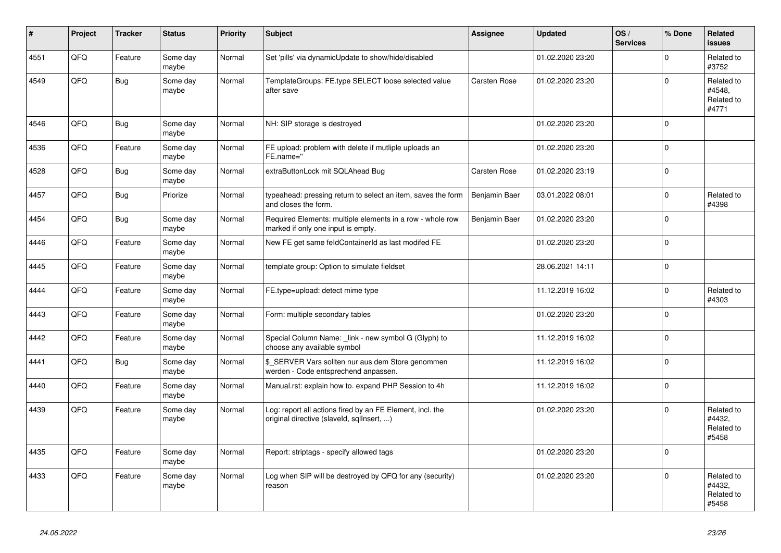| #    | Project | <b>Tracker</b> | <b>Status</b>     | <b>Priority</b> | <b>Subject</b>                                                                                         | <b>Assignee</b> | <b>Updated</b>   | OS/<br><b>Services</b> | % Done      | Related<br><b>issues</b>                    |
|------|---------|----------------|-------------------|-----------------|--------------------------------------------------------------------------------------------------------|-----------------|------------------|------------------------|-------------|---------------------------------------------|
| 4551 | QFQ     | Feature        | Some day<br>maybe | Normal          | Set 'pills' via dynamicUpdate to show/hide/disabled                                                    |                 | 01.02.2020 23:20 |                        | $\Omega$    | Related to<br>#3752                         |
| 4549 | QFQ     | <b>Bug</b>     | Some day<br>maybe | Normal          | TemplateGroups: FE.type SELECT loose selected value<br>after save                                      | Carsten Rose    | 01.02.2020 23:20 |                        | $\mathbf 0$ | Related to<br>#4548,<br>Related to<br>#4771 |
| 4546 | QFQ     | <b>Bug</b>     | Some day<br>maybe | Normal          | NH: SIP storage is destroyed                                                                           |                 | 01.02.2020 23:20 |                        | $\Omega$    |                                             |
| 4536 | QFQ     | Feature        | Some day<br>maybe | Normal          | FE upload: problem with delete if mutliple uploads an<br>FE.name="                                     |                 | 01.02.2020 23:20 |                        | $\Omega$    |                                             |
| 4528 | QFQ     | Bug            | Some day<br>maybe | Normal          | extraButtonLock mit SQLAhead Bug                                                                       | Carsten Rose    | 01.02.2020 23:19 |                        | $\mathbf 0$ |                                             |
| 4457 | QFQ     | Bug            | Priorize          | Normal          | typeahead: pressing return to select an item, saves the form<br>and closes the form.                   | Benjamin Baer   | 03.01.2022 08:01 |                        | $\Omega$    | Related to<br>#4398                         |
| 4454 | QFQ     | Bug            | Some day<br>maybe | Normal          | Required Elements: multiple elements in a row - whole row<br>marked if only one input is empty.        | Benjamin Baer   | 01.02.2020 23:20 |                        | $\mathbf 0$ |                                             |
| 4446 | QFQ     | Feature        | Some day<br>maybe | Normal          | New FE get same feldContainerId as last modifed FE                                                     |                 | 01.02.2020 23:20 |                        | $\mathbf 0$ |                                             |
| 4445 | QFQ     | Feature        | Some day<br>maybe | Normal          | template group: Option to simulate fieldset                                                            |                 | 28.06.2021 14:11 |                        | $\Omega$    |                                             |
| 4444 | QFQ     | Feature        | Some day<br>maybe | Normal          | FE.type=upload: detect mime type                                                                       |                 | 11.12.2019 16:02 |                        | $\mathbf 0$ | Related to<br>#4303                         |
| 4443 | QFQ     | Feature        | Some day<br>maybe | Normal          | Form: multiple secondary tables                                                                        |                 | 01.02.2020 23:20 |                        | $\Omega$    |                                             |
| 4442 | QFQ     | Feature        | Some day<br>maybe | Normal          | Special Column Name: _link - new symbol G (Glyph) to<br>choose any available symbol                    |                 | 11.12.2019 16:02 |                        | $\mathbf 0$ |                                             |
| 4441 | QFQ     | <b>Bug</b>     | Some day<br>maybe | Normal          | \$_SERVER Vars sollten nur aus dem Store genommen<br>werden - Code entsprechend anpassen.              |                 | 11.12.2019 16:02 |                        | $\mathbf 0$ |                                             |
| 4440 | QFQ     | Feature        | Some day<br>maybe | Normal          | Manual.rst: explain how to. expand PHP Session to 4h                                                   |                 | 11.12.2019 16:02 |                        | $\mathbf 0$ |                                             |
| 4439 | QFQ     | Feature        | Some day<br>maybe | Normal          | Log: report all actions fired by an FE Element, incl. the<br>original directive (slaveld, sqllnsert, ) |                 | 01.02.2020 23:20 |                        | $\Omega$    | Related to<br>#4432,<br>Related to<br>#5458 |
| 4435 | QFQ     | Feature        | Some day<br>maybe | Normal          | Report: striptags - specify allowed tags                                                               |                 | 01.02.2020 23:20 |                        | $\mathbf 0$ |                                             |
| 4433 | QFQ     | Feature        | Some day<br>maybe | Normal          | Log when SIP will be destroyed by QFQ for any (security)<br>reason                                     |                 | 01.02.2020 23:20 |                        | $\mathbf 0$ | Related to<br>#4432,<br>Related to<br>#5458 |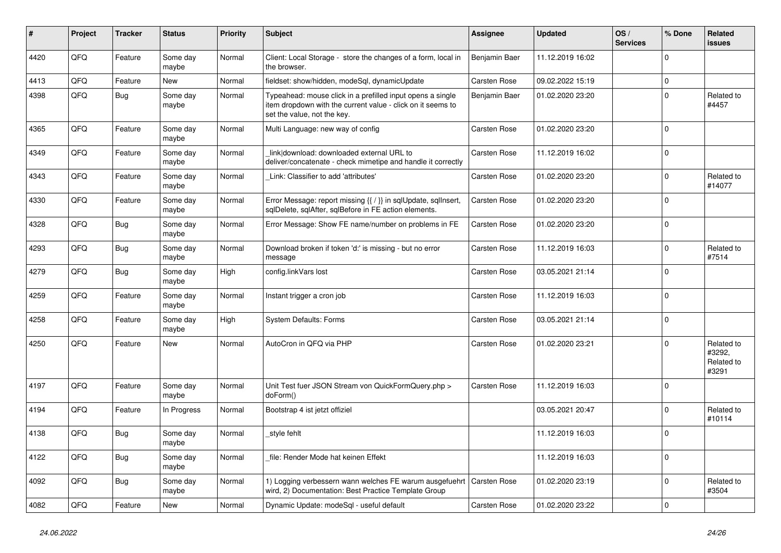| ∦    | Project | <b>Tracker</b> | <b>Status</b>     | <b>Priority</b> | <b>Subject</b>                                                                                                                                           | Assignee            | <b>Updated</b>   | OS/<br><b>Services</b> | % Done      | Related<br><b>issues</b>                    |
|------|---------|----------------|-------------------|-----------------|----------------------------------------------------------------------------------------------------------------------------------------------------------|---------------------|------------------|------------------------|-------------|---------------------------------------------|
| 4420 | QFQ     | Feature        | Some day<br>maybe | Normal          | Client: Local Storage - store the changes of a form, local in<br>the browser.                                                                            | Benjamin Baer       | 11.12.2019 16:02 |                        | $\Omega$    |                                             |
| 4413 | QFQ     | Feature        | <b>New</b>        | Normal          | fieldset: show/hidden, modeSql, dynamicUpdate                                                                                                            | Carsten Rose        | 09.02.2022 15:19 |                        | $\pmb{0}$   |                                             |
| 4398 | QFQ     | <b>Bug</b>     | Some day<br>maybe | Normal          | Typeahead: mouse click in a prefilled input opens a single<br>item dropdown with the current value - click on it seems to<br>set the value, not the key. | Benjamin Baer       | 01.02.2020 23:20 |                        | $\mathbf 0$ | Related to<br>#4457                         |
| 4365 | QFQ     | Feature        | Some day<br>maybe | Normal          | Multi Language: new way of config                                                                                                                        | Carsten Rose        | 01.02.2020 23:20 |                        | $\mathbf 0$ |                                             |
| 4349 | QFQ     | Feature        | Some day<br>maybe | Normal          | link download: downloaded external URL to<br>deliver/concatenate - check mimetipe and handle it correctly                                                | Carsten Rose        | 11.12.2019 16:02 |                        | $\mathbf 0$ |                                             |
| 4343 | QFQ     | Feature        | Some day<br>maybe | Normal          | Link: Classifier to add 'attributes'                                                                                                                     | Carsten Rose        | 01.02.2020 23:20 |                        | $\mathbf 0$ | Related to<br>#14077                        |
| 4330 | QFQ     | Feature        | Some day<br>maybe | Normal          | Error Message: report missing {{ / }} in sqlUpdate, sqlInsert,<br>sqlDelete, sqlAfter, sqlBefore in FE action elements.                                  | <b>Carsten Rose</b> | 01.02.2020 23:20 |                        | $\Omega$    |                                             |
| 4328 | QFQ     | <b>Bug</b>     | Some day<br>maybe | Normal          | Error Message: Show FE name/number on problems in FE                                                                                                     | Carsten Rose        | 01.02.2020 23:20 |                        | $\mathbf 0$ |                                             |
| 4293 | QFQ     | Bug            | Some day<br>maybe | Normal          | Download broken if token 'd:' is missing - but no error<br>message                                                                                       | <b>Carsten Rose</b> | 11.12.2019 16:03 |                        | $\Omega$    | Related to<br>#7514                         |
| 4279 | QFQ     | Bug            | Some day<br>maybe | High            | config.linkVars lost                                                                                                                                     | Carsten Rose        | 03.05.2021 21:14 |                        | $\mathbf 0$ |                                             |
| 4259 | QFQ     | Feature        | Some day<br>maybe | Normal          | Instant trigger a cron job                                                                                                                               | Carsten Rose        | 11.12.2019 16:03 |                        | $\pmb{0}$   |                                             |
| 4258 | QFQ     | Feature        | Some day<br>maybe | High            | <b>System Defaults: Forms</b>                                                                                                                            | Carsten Rose        | 03.05.2021 21:14 |                        | $\Omega$    |                                             |
| 4250 | QFQ     | Feature        | <b>New</b>        | Normal          | AutoCron in QFQ via PHP                                                                                                                                  | Carsten Rose        | 01.02.2020 23:21 |                        | $\mathbf 0$ | Related to<br>#3292,<br>Related to<br>#3291 |
| 4197 | QFQ     | Feature        | Some day<br>maybe | Normal          | Unit Test fuer JSON Stream von QuickFormQuery.php ><br>doForm()                                                                                          | Carsten Rose        | 11.12.2019 16:03 |                        | $\mathbf 0$ |                                             |
| 4194 | QFQ     | Feature        | In Progress       | Normal          | Bootstrap 4 ist jetzt offiziel                                                                                                                           |                     | 03.05.2021 20:47 |                        | $\Omega$    | Related to<br>#10114                        |
| 4138 | QFQ     | <b>Bug</b>     | Some day<br>maybe | Normal          | style fehlt                                                                                                                                              |                     | 11.12.2019 16:03 |                        | $\Omega$    |                                             |
| 4122 | QFQ     | Bug            | Some day<br>maybe | Normal          | file: Render Mode hat keinen Effekt                                                                                                                      |                     | 11.12.2019 16:03 |                        | $\mathbf 0$ |                                             |
| 4092 | QFQ     | <b>Bug</b>     | Some day<br>maybe | Normal          | 1) Logging verbessern wann welches FE warum ausgefuehrt   Carsten Rose<br>wird, 2) Documentation: Best Practice Template Group                           |                     | 01.02.2020 23:19 |                        | $\mathbf 0$ | Related to<br>#3504                         |
| 4082 | QFQ     | Feature        | <b>New</b>        | Normal          | Dynamic Update: modeSql - useful default                                                                                                                 | Carsten Rose        | 01.02.2020 23:22 |                        | $\Omega$    |                                             |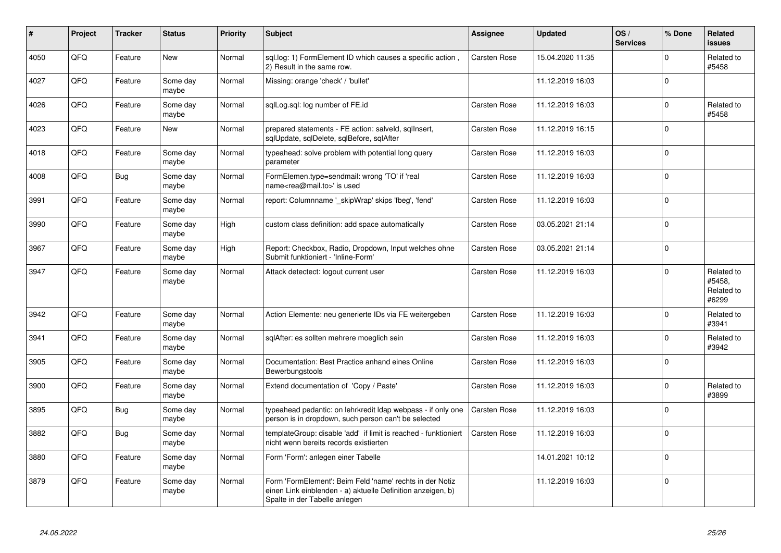| #    | Project | <b>Tracker</b> | <b>Status</b>     | <b>Priority</b> | <b>Subject</b>                                                                                                                                           | <b>Assignee</b>     | <b>Updated</b>   | OS/<br><b>Services</b> | % Done       | <b>Related</b><br><b>issues</b>             |
|------|---------|----------------|-------------------|-----------------|----------------------------------------------------------------------------------------------------------------------------------------------------------|---------------------|------------------|------------------------|--------------|---------------------------------------------|
| 4050 | QFQ     | Feature        | <b>New</b>        | Normal          | sql.log: 1) FormElement ID which causes a specific action,<br>2) Result in the same row.                                                                 | <b>Carsten Rose</b> | 15.04.2020 11:35 |                        | $\mathbf 0$  | Related to<br>#5458                         |
| 4027 | QFQ     | Feature        | Some day<br>maybe | Normal          | Missing: orange 'check' / 'bullet'                                                                                                                       |                     | 11.12.2019 16:03 |                        | $\mathbf 0$  |                                             |
| 4026 | QFQ     | Feature        | Some day<br>maybe | Normal          | sqlLog.sql: log number of FE.id                                                                                                                          | Carsten Rose        | 11.12.2019 16:03 |                        | $\mathbf 0$  | Related to<br>#5458                         |
| 4023 | QFQ     | Feature        | New               | Normal          | prepared statements - FE action: salveld, sqllnsert,<br>sqlUpdate, sqlDelete, sqlBefore, sqlAfter                                                        | Carsten Rose        | 11.12.2019 16:15 |                        | $\Omega$     |                                             |
| 4018 | QFQ     | Feature        | Some day<br>maybe | Normal          | typeahead: solve problem with potential long query<br>parameter                                                                                          | Carsten Rose        | 11.12.2019 16:03 |                        | $\mathbf 0$  |                                             |
| 4008 | QFQ     | <b>Bug</b>     | Some day<br>maybe | Normal          | FormElemen.type=sendmail: wrong 'TO' if 'real<br>name <rea@mail.to>' is used</rea@mail.to>                                                               | Carsten Rose        | 11.12.2019 16:03 |                        | $\mathbf 0$  |                                             |
| 3991 | QFQ     | Feature        | Some day<br>maybe | Normal          | report: Columnname ' skipWrap' skips 'fbeg', 'fend'                                                                                                      | Carsten Rose        | 11.12.2019 16:03 |                        | $\Omega$     |                                             |
| 3990 | QFQ     | Feature        | Some day<br>maybe | High            | custom class definition: add space automatically                                                                                                         | Carsten Rose        | 03.05.2021 21:14 |                        | $\mathbf 0$  |                                             |
| 3967 | QFQ     | Feature        | Some day<br>maybe | High            | Report: Checkbox, Radio, Dropdown, Input welches ohne<br>Submit funktioniert - 'Inline-Form'                                                             | Carsten Rose        | 03.05.2021 21:14 |                        | $\mathbf 0$  |                                             |
| 3947 | QFQ     | Feature        | Some day<br>maybe | Normal          | Attack detectect: logout current user                                                                                                                    | Carsten Rose        | 11.12.2019 16:03 |                        | $\mathbf{0}$ | Related to<br>#5458.<br>Related to<br>#6299 |
| 3942 | QFQ     | Feature        | Some day<br>maybe | Normal          | Action Elemente: neu generierte IDs via FE weitergeben                                                                                                   | <b>Carsten Rose</b> | 11.12.2019 16:03 |                        | $\mathbf 0$  | Related to<br>#3941                         |
| 3941 | QFQ     | Feature        | Some day<br>maybe | Normal          | sqlAfter: es sollten mehrere moeglich sein                                                                                                               | <b>Carsten Rose</b> | 11.12.2019 16:03 |                        | $\mathbf 0$  | Related to<br>#3942                         |
| 3905 | QFQ     | Feature        | Some day<br>maybe | Normal          | Documentation: Best Practice anhand eines Online<br>Bewerbungstools                                                                                      | Carsten Rose        | 11.12.2019 16:03 |                        | $\Omega$     |                                             |
| 3900 | QFQ     | Feature        | Some day<br>maybe | Normal          | Extend documentation of 'Copy / Paste'                                                                                                                   | Carsten Rose        | 11.12.2019 16:03 |                        | $\Omega$     | Related to<br>#3899                         |
| 3895 | QFQ     | Bug            | Some day<br>maybe | Normal          | typeahead pedantic: on lehrkredit Idap webpass - if only one<br>person is in dropdown, such person can't be selected                                     | <b>Carsten Rose</b> | 11.12.2019 16:03 |                        | $\mathbf 0$  |                                             |
| 3882 | QFQ     | <b>Bug</b>     | Some day<br>maybe | Normal          | templateGroup: disable 'add' if limit is reached - funktioniert<br>nicht wenn bereits records existierten                                                | Carsten Rose        | 11.12.2019 16:03 |                        | $\mathbf 0$  |                                             |
| 3880 | QFQ     | Feature        | Some day<br>maybe | Normal          | Form 'Form': anlegen einer Tabelle                                                                                                                       |                     | 14.01.2021 10:12 |                        | $\Omega$     |                                             |
| 3879 | QFQ     | Feature        | Some day<br>maybe | Normal          | Form 'FormElement': Beim Feld 'name' rechts in der Notiz<br>einen Link einblenden - a) aktuelle Definition anzeigen, b)<br>Spalte in der Tabelle anlegen |                     | 11.12.2019 16:03 |                        | $\mathbf 0$  |                                             |